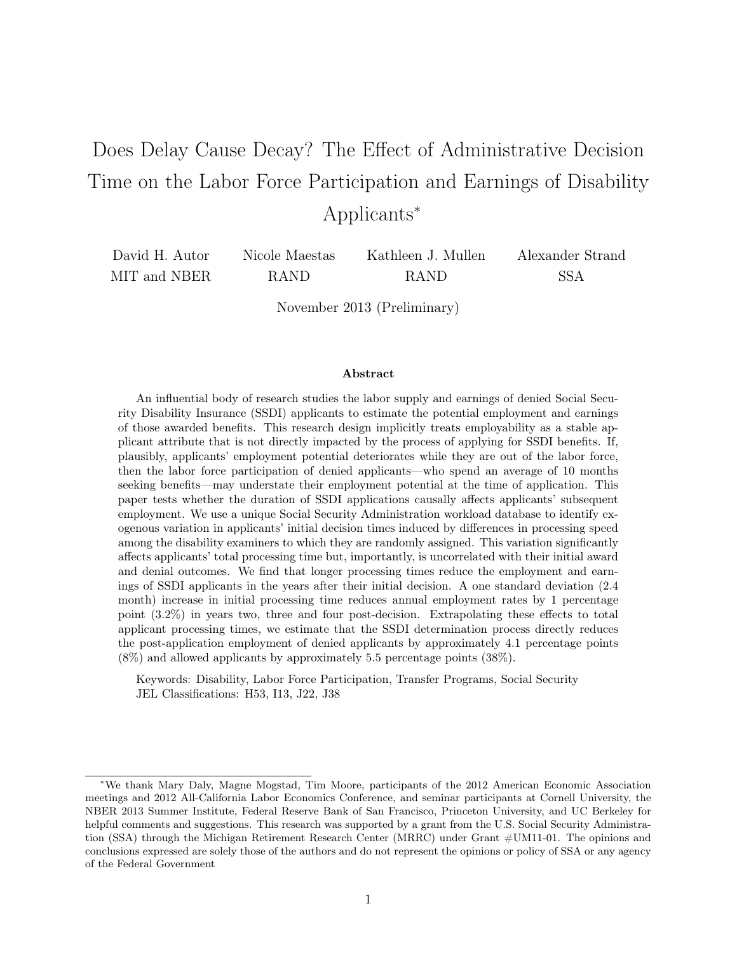# Does Delay Cause Decay? The Effect of Administrative Decision Time on the Labor Force Participation and Earnings of Disability Applicants<sup>∗</sup>

| David H. Autor | Nicole Maestas | Kathleen J. Mullen | Alexander Strand |
|----------------|----------------|--------------------|------------------|
| MIT and NBER   | <b>RAND</b>    | <b>RAND</b>        | SSA              |

November 2013 (Preliminary)

#### Abstract

An influential body of research studies the labor supply and earnings of denied Social Security Disability Insurance (SSDI) applicants to estimate the potential employment and earnings of those awarded benefits. This research design implicitly treats employability as a stable applicant attribute that is not directly impacted by the process of applying for SSDI benefits. If, plausibly, applicants' employment potential deteriorates while they are out of the labor force, then the labor force participation of denied applicants—who spend an average of 10 months seeking benefits—may understate their employment potential at the time of application. This paper tests whether the duration of SSDI applications causally affects applicants' subsequent employment. We use a unique Social Security Administration workload database to identify exogenous variation in applicants' initial decision times induced by differences in processing speed among the disability examiners to which they are randomly assigned. This variation significantly affects applicants' total processing time but, importantly, is uncorrelated with their initial award and denial outcomes. We find that longer processing times reduce the employment and earnings of SSDI applicants in the years after their initial decision. A one standard deviation (2.4 month) increase in initial processing time reduces annual employment rates by 1 percentage point (3.2%) in years two, three and four post-decision. Extrapolating these effects to total applicant processing times, we estimate that the SSDI determination process directly reduces the post-application employment of denied applicants by approximately 4.1 percentage points (8%) and allowed applicants by approximately 5.5 percentage points (38%).

Keywords: Disability, Labor Force Participation, Transfer Programs, Social Security JEL Classifications: H53, I13, J22, J38

<sup>∗</sup>We thank Mary Daly, Magne Mogstad, Tim Moore, participants of the 2012 American Economic Association meetings and 2012 All-California Labor Economics Conference, and seminar participants at Cornell University, the NBER 2013 Summer Institute, Federal Reserve Bank of San Francisco, Princeton University, and UC Berkeley for helpful comments and suggestions. This research was supported by a grant from the U.S. Social Security Administration (SSA) through the Michigan Retirement Research Center (MRRC) under Grant #UM11-01. The opinions and conclusions expressed are solely those of the authors and do not represent the opinions or policy of SSA or any agency of the Federal Government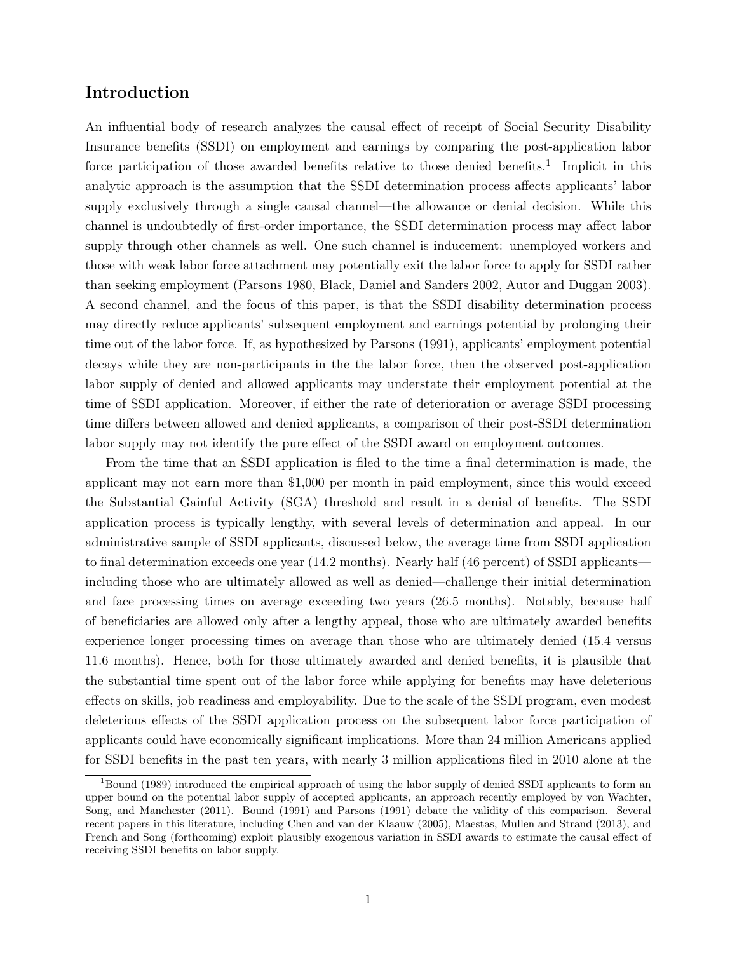#### Introduction

An influential body of research analyzes the causal effect of receipt of Social Security Disability Insurance benefits (SSDI) on employment and earnings by comparing the post-application labor force participation of those awarded benefits relative to those denied benefits.<sup>1</sup> Implicit in this analytic approach is the assumption that the SSDI determination process affects applicants' labor supply exclusively through a single causal channel—the allowance or denial decision. While this channel is undoubtedly of first-order importance, the SSDI determination process may affect labor supply through other channels as well. One such channel is inducement: unemployed workers and those with weak labor force attachment may potentially exit the labor force to apply for SSDI rather than seeking employment (Parsons 1980, Black, Daniel and Sanders 2002, Autor and Duggan 2003). A second channel, and the focus of this paper, is that the SSDI disability determination process may directly reduce applicants' subsequent employment and earnings potential by prolonging their time out of the labor force. If, as hypothesized by Parsons (1991), applicants' employment potential decays while they are non-participants in the the labor force, then the observed post-application labor supply of denied and allowed applicants may understate their employment potential at the time of SSDI application. Moreover, if either the rate of deterioration or average SSDI processing time differs between allowed and denied applicants, a comparison of their post-SSDI determination labor supply may not identify the pure effect of the SSDI award on employment outcomes.

From the time that an SSDI application is filed to the time a final determination is made, the applicant may not earn more than \$1,000 per month in paid employment, since this would exceed the Substantial Gainful Activity (SGA) threshold and result in a denial of benefits. The SSDI application process is typically lengthy, with several levels of determination and appeal. In our administrative sample of SSDI applicants, discussed below, the average time from SSDI application to final determination exceeds one year (14.2 months). Nearly half (46 percent) of SSDI applicants including those who are ultimately allowed as well as denied—challenge their initial determination and face processing times on average exceeding two years (26.5 months). Notably, because half of beneficiaries are allowed only after a lengthy appeal, those who are ultimately awarded benefits experience longer processing times on average than those who are ultimately denied (15.4 versus 11.6 months). Hence, both for those ultimately awarded and denied benefits, it is plausible that the substantial time spent out of the labor force while applying for benefits may have deleterious effects on skills, job readiness and employability. Due to the scale of the SSDI program, even modest deleterious effects of the SSDI application process on the subsequent labor force participation of applicants could have economically significant implications. More than 24 million Americans applied for SSDI benefits in the past ten years, with nearly 3 million applications filed in 2010 alone at the

<sup>&</sup>lt;sup>1</sup>Bound (1989) introduced the empirical approach of using the labor supply of denied SSDI applicants to form an upper bound on the potential labor supply of accepted applicants, an approach recently employed by von Wachter, Song, and Manchester (2011). Bound (1991) and Parsons (1991) debate the validity of this comparison. Several recent papers in this literature, including Chen and van der Klaauw (2005), Maestas, Mullen and Strand (2013), and French and Song (forthcoming) exploit plausibly exogenous variation in SSDI awards to estimate the causal effect of receiving SSDI benefits on labor supply.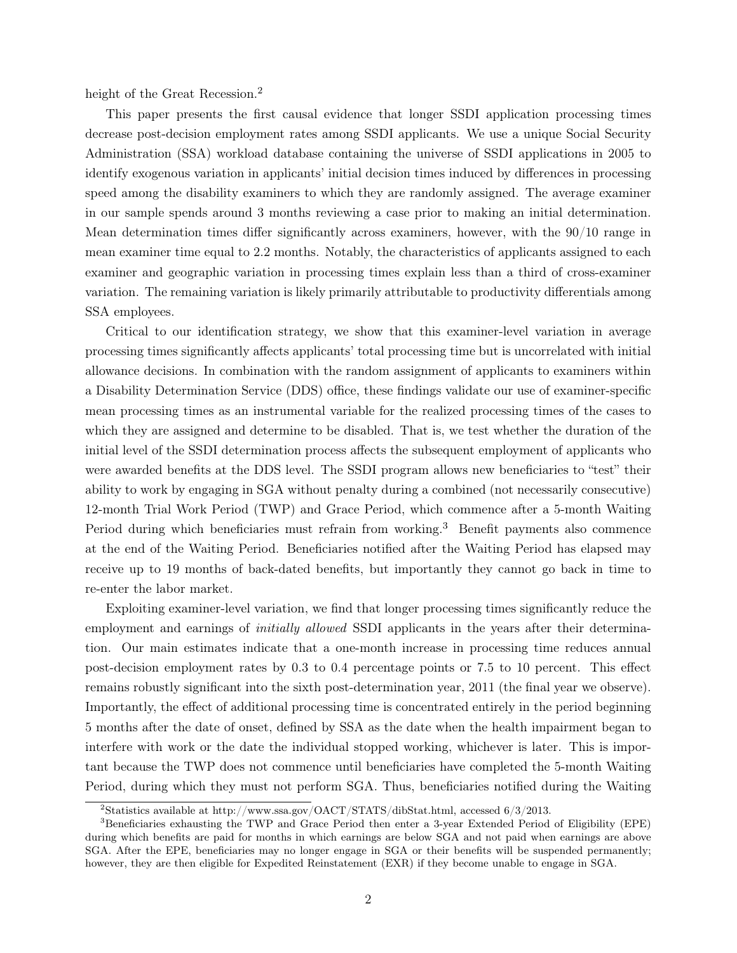height of the Great Recession.<sup>2</sup>

This paper presents the first causal evidence that longer SSDI application processing times decrease post-decision employment rates among SSDI applicants. We use a unique Social Security Administration (SSA) workload database containing the universe of SSDI applications in 2005 to identify exogenous variation in applicants' initial decision times induced by differences in processing speed among the disability examiners to which they are randomly assigned. The average examiner in our sample spends around 3 months reviewing a case prior to making an initial determination. Mean determination times differ significantly across examiners, however, with the 90/10 range in mean examiner time equal to 2.2 months. Notably, the characteristics of applicants assigned to each examiner and geographic variation in processing times explain less than a third of cross-examiner variation. The remaining variation is likely primarily attributable to productivity differentials among SSA employees.

Critical to our identification strategy, we show that this examiner-level variation in average processing times significantly affects applicants' total processing time but is uncorrelated with initial allowance decisions. In combination with the random assignment of applicants to examiners within a Disability Determination Service (DDS) office, these findings validate our use of examiner-specific mean processing times as an instrumental variable for the realized processing times of the cases to which they are assigned and determine to be disabled. That is, we test whether the duration of the initial level of the SSDI determination process affects the subsequent employment of applicants who were awarded benefits at the DDS level. The SSDI program allows new beneficiaries to "test" their ability to work by engaging in SGA without penalty during a combined (not necessarily consecutive) 12-month Trial Work Period (TWP) and Grace Period, which commence after a 5-month Waiting Period during which beneficiaries must refrain from working.<sup>3</sup> Benefit payments also commence at the end of the Waiting Period. Beneficiaries notified after the Waiting Period has elapsed may receive up to 19 months of back-dated benefits, but importantly they cannot go back in time to re-enter the labor market.

Exploiting examiner-level variation, we find that longer processing times significantly reduce the employment and earnings of *initially allowed* SSDI applicants in the years after their determination. Our main estimates indicate that a one-month increase in processing time reduces annual post-decision employment rates by 0.3 to 0.4 percentage points or 7.5 to 10 percent. This effect remains robustly significant into the sixth post-determination year, 2011 (the final year we observe). Importantly, the effect of additional processing time is concentrated entirely in the period beginning 5 months after the date of onset, defined by SSA as the date when the health impairment began to interfere with work or the date the individual stopped working, whichever is later. This is important because the TWP does not commence until beneficiaries have completed the 5-month Waiting Period, during which they must not perform SGA. Thus, beneficiaries notified during the Waiting

<sup>2</sup>Statistics available at http://www.ssa.gov/OACT/STATS/dibStat.html, accessed 6/3/2013.

<sup>&</sup>lt;sup>3</sup>Beneficiaries exhausting the TWP and Grace Period then enter a 3-year Extended Period of Eligibility (EPE) during which benefits are paid for months in which earnings are below SGA and not paid when earnings are above SGA. After the EPE, beneficiaries may no longer engage in SGA or their benefits will be suspended permanently; however, they are then eligible for Expedited Reinstatement (EXR) if they become unable to engage in SGA.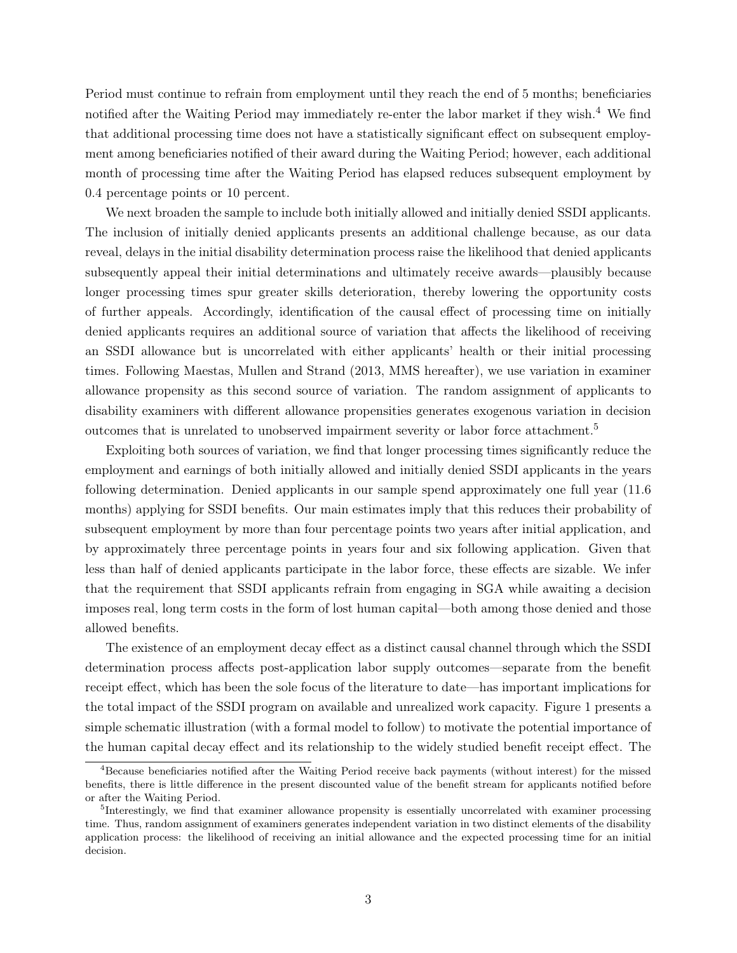Period must continue to refrain from employment until they reach the end of 5 months; beneficiaries notified after the Waiting Period may immediately re-enter the labor market if they wish.<sup>4</sup> We find that additional processing time does not have a statistically significant effect on subsequent employment among beneficiaries notified of their award during the Waiting Period; however, each additional month of processing time after the Waiting Period has elapsed reduces subsequent employment by 0.4 percentage points or 10 percent.

We next broaden the sample to include both initially allowed and initially denied SSDI applicants. The inclusion of initially denied applicants presents an additional challenge because, as our data reveal, delays in the initial disability determination process raise the likelihood that denied applicants subsequently appeal their initial determinations and ultimately receive awards—plausibly because longer processing times spur greater skills deterioration, thereby lowering the opportunity costs of further appeals. Accordingly, identification of the causal effect of processing time on initially denied applicants requires an additional source of variation that affects the likelihood of receiving an SSDI allowance but is uncorrelated with either applicants' health or their initial processing times. Following Maestas, Mullen and Strand (2013, MMS hereafter), we use variation in examiner allowance propensity as this second source of variation. The random assignment of applicants to disability examiners with different allowance propensities generates exogenous variation in decision outcomes that is unrelated to unobserved impairment severity or labor force attachment.<sup>5</sup>

Exploiting both sources of variation, we find that longer processing times significantly reduce the employment and earnings of both initially allowed and initially denied SSDI applicants in the years following determination. Denied applicants in our sample spend approximately one full year (11.6 months) applying for SSDI benefits. Our main estimates imply that this reduces their probability of subsequent employment by more than four percentage points two years after initial application, and by approximately three percentage points in years four and six following application. Given that less than half of denied applicants participate in the labor force, these effects are sizable. We infer that the requirement that SSDI applicants refrain from engaging in SGA while awaiting a decision imposes real, long term costs in the form of lost human capital—both among those denied and those allowed benefits.

The existence of an employment decay effect as a distinct causal channel through which the SSDI determination process affects post-application labor supply outcomes—separate from the benefit receipt effect, which has been the sole focus of the literature to date—has important implications for the total impact of the SSDI program on available and unrealized work capacity. Figure 1 presents a simple schematic illustration (with a formal model to follow) to motivate the potential importance of the human capital decay effect and its relationship to the widely studied benefit receipt effect. The

<sup>4</sup>Because beneficiaries notified after the Waiting Period receive back payments (without interest) for the missed benefits, there is little difference in the present discounted value of the benefit stream for applicants notified before or after the Waiting Period.

<sup>&</sup>lt;sup>5</sup>Interestingly, we find that examiner allowance propensity is essentially uncorrelated with examiner processing time. Thus, random assignment of examiners generates independent variation in two distinct elements of the disability application process: the likelihood of receiving an initial allowance and the expected processing time for an initial decision.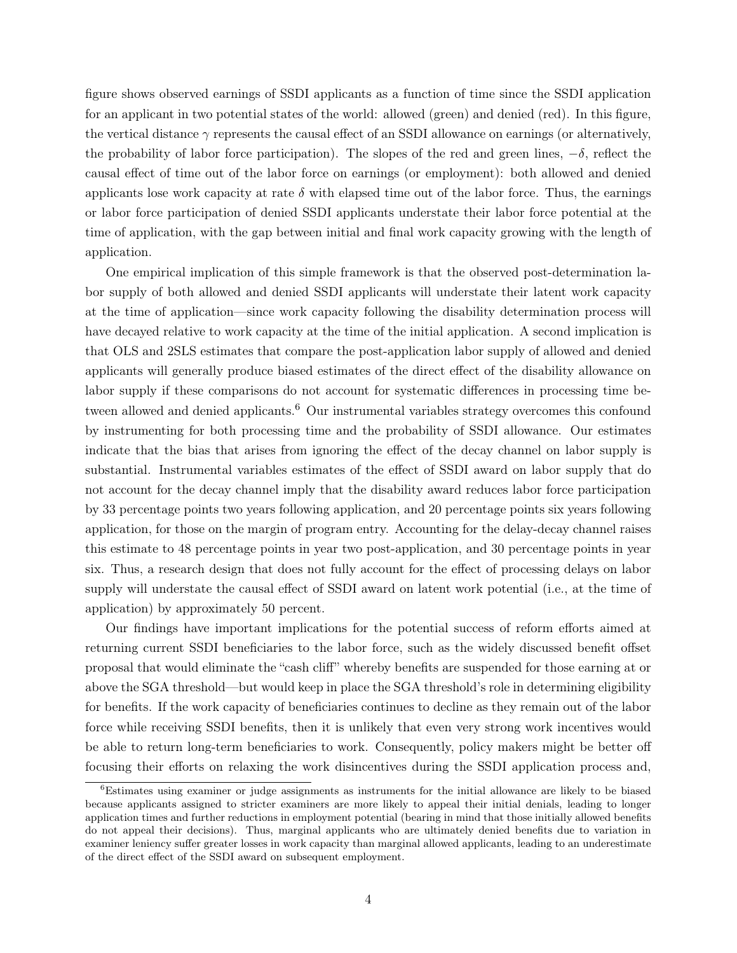figure shows observed earnings of SSDI applicants as a function of time since the SSDI application for an applicant in two potential states of the world: allowed (green) and denied (red). In this figure, the vertical distance  $\gamma$  represents the causal effect of an SSDI allowance on earnings (or alternatively, the probability of labor force participation). The slopes of the red and green lines,  $-\delta$ , reflect the causal effect of time out of the labor force on earnings (or employment): both allowed and denied applicants lose work capacity at rate  $\delta$  with elapsed time out of the labor force. Thus, the earnings or labor force participation of denied SSDI applicants understate their labor force potential at the time of application, with the gap between initial and final work capacity growing with the length of application.

One empirical implication of this simple framework is that the observed post-determination labor supply of both allowed and denied SSDI applicants will understate their latent work capacity at the time of application—since work capacity following the disability determination process will have decayed relative to work capacity at the time of the initial application. A second implication is that OLS and 2SLS estimates that compare the post-application labor supply of allowed and denied applicants will generally produce biased estimates of the direct effect of the disability allowance on labor supply if these comparisons do not account for systematic differences in processing time between allowed and denied applicants.<sup>6</sup> Our instrumental variables strategy overcomes this confound by instrumenting for both processing time and the probability of SSDI allowance. Our estimates indicate that the bias that arises from ignoring the effect of the decay channel on labor supply is substantial. Instrumental variables estimates of the effect of SSDI award on labor supply that do not account for the decay channel imply that the disability award reduces labor force participation by 33 percentage points two years following application, and 20 percentage points six years following application, for those on the margin of program entry. Accounting for the delay-decay channel raises this estimate to 48 percentage points in year two post-application, and 30 percentage points in year six. Thus, a research design that does not fully account for the effect of processing delays on labor supply will understate the causal effect of SSDI award on latent work potential (i.e., at the time of application) by approximately 50 percent.

Our findings have important implications for the potential success of reform efforts aimed at returning current SSDI beneficiaries to the labor force, such as the widely discussed benefit offset proposal that would eliminate the "cash cliff" whereby benefits are suspended for those earning at or above the SGA threshold—but would keep in place the SGA threshold's role in determining eligibility for benefits. If the work capacity of beneficiaries continues to decline as they remain out of the labor force while receiving SSDI benefits, then it is unlikely that even very strong work incentives would be able to return long-term beneficiaries to work. Consequently, policy makers might be better off focusing their efforts on relaxing the work disincentives during the SSDI application process and,

<sup>6</sup>Estimates using examiner or judge assignments as instruments for the initial allowance are likely to be biased because applicants assigned to stricter examiners are more likely to appeal their initial denials, leading to longer application times and further reductions in employment potential (bearing in mind that those initially allowed benefits do not appeal their decisions). Thus, marginal applicants who are ultimately denied benefits due to variation in examiner leniency suffer greater losses in work capacity than marginal allowed applicants, leading to an underestimate of the direct effect of the SSDI award on subsequent employment.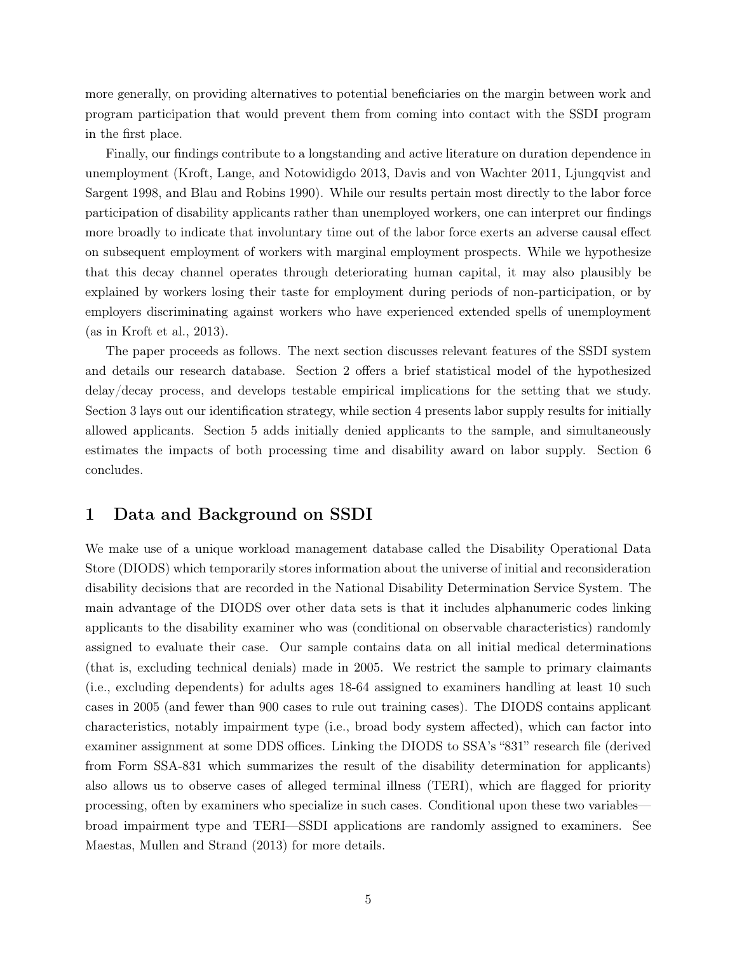more generally, on providing alternatives to potential beneficiaries on the margin between work and program participation that would prevent them from coming into contact with the SSDI program in the first place.

Finally, our findings contribute to a longstanding and active literature on duration dependence in unemployment (Kroft, Lange, and Notowidigdo 2013, Davis and von Wachter 2011, Ljungqvist and Sargent 1998, and Blau and Robins 1990). While our results pertain most directly to the labor force participation of disability applicants rather than unemployed workers, one can interpret our findings more broadly to indicate that involuntary time out of the labor force exerts an adverse causal effect on subsequent employment of workers with marginal employment prospects. While we hypothesize that this decay channel operates through deteriorating human capital, it may also plausibly be explained by workers losing their taste for employment during periods of non-participation, or by employers discriminating against workers who have experienced extended spells of unemployment (as in Kroft et al., 2013).

The paper proceeds as follows. The next section discusses relevant features of the SSDI system and details our research database. Section 2 offers a brief statistical model of the hypothesized delay/decay process, and develops testable empirical implications for the setting that we study. Section 3 lays out our identification strategy, while section 4 presents labor supply results for initially allowed applicants. Section 5 adds initially denied applicants to the sample, and simultaneously estimates the impacts of both processing time and disability award on labor supply. Section 6 concludes.

#### 1 Data and Background on SSDI

We make use of a unique workload management database called the Disability Operational Data Store (DIODS) which temporarily stores information about the universe of initial and reconsideration disability decisions that are recorded in the National Disability Determination Service System. The main advantage of the DIODS over other data sets is that it includes alphanumeric codes linking applicants to the disability examiner who was (conditional on observable characteristics) randomly assigned to evaluate their case. Our sample contains data on all initial medical determinations (that is, excluding technical denials) made in 2005. We restrict the sample to primary claimants (i.e., excluding dependents) for adults ages 18-64 assigned to examiners handling at least 10 such cases in 2005 (and fewer than 900 cases to rule out training cases). The DIODS contains applicant characteristics, notably impairment type (i.e., broad body system affected), which can factor into examiner assignment at some DDS offices. Linking the DIODS to SSA's "831" research file (derived from Form SSA-831 which summarizes the result of the disability determination for applicants) also allows us to observe cases of alleged terminal illness (TERI), which are flagged for priority processing, often by examiners who specialize in such cases. Conditional upon these two variables broad impairment type and TERI—SSDI applications are randomly assigned to examiners. See Maestas, Mullen and Strand (2013) for more details.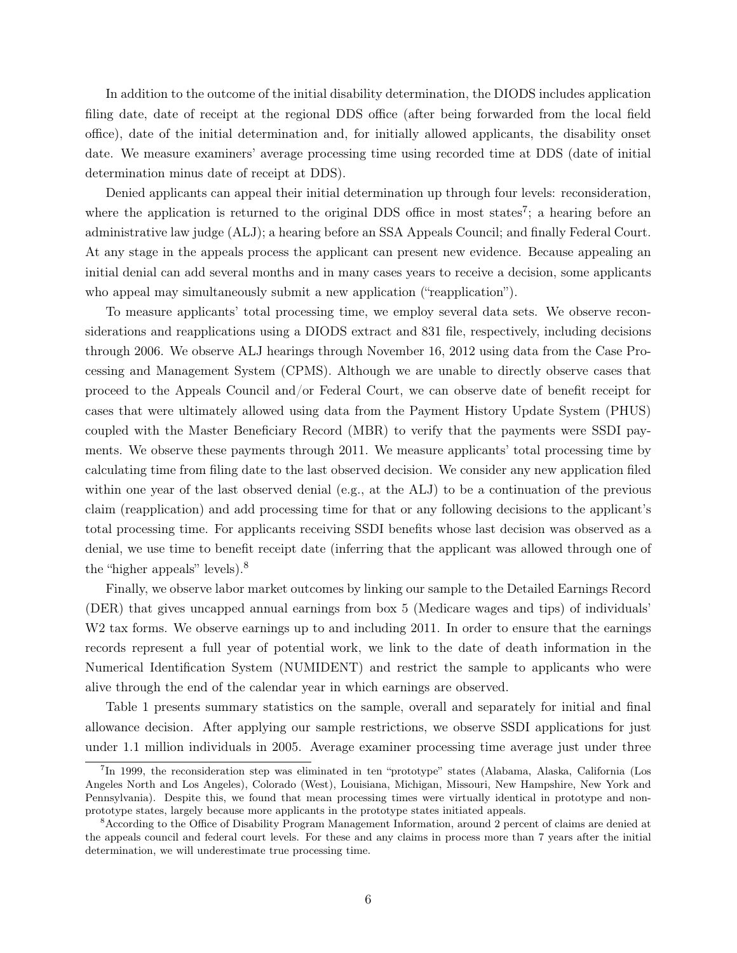In addition to the outcome of the initial disability determination, the DIODS includes application filing date, date of receipt at the regional DDS office (after being forwarded from the local field office), date of the initial determination and, for initially allowed applicants, the disability onset date. We measure examiners' average processing time using recorded time at DDS (date of initial determination minus date of receipt at DDS).

Denied applicants can appeal their initial determination up through four levels: reconsideration, where the application is returned to the original DDS office in most states<sup>7</sup>; a hearing before an administrative law judge (ALJ); a hearing before an SSA Appeals Council; and finally Federal Court. At any stage in the appeals process the applicant can present new evidence. Because appealing an initial denial can add several months and in many cases years to receive a decision, some applicants who appeal may simultaneously submit a new application ("reapplication").

To measure applicants' total processing time, we employ several data sets. We observe reconsiderations and reapplications using a DIODS extract and 831 file, respectively, including decisions through 2006. We observe ALJ hearings through November 16, 2012 using data from the Case Processing and Management System (CPMS). Although we are unable to directly observe cases that proceed to the Appeals Council and/or Federal Court, we can observe date of benefit receipt for cases that were ultimately allowed using data from the Payment History Update System (PHUS) coupled with the Master Beneficiary Record (MBR) to verify that the payments were SSDI payments. We observe these payments through 2011. We measure applicants' total processing time by calculating time from filing date to the last observed decision. We consider any new application filed within one year of the last observed denial (e.g., at the ALJ) to be a continuation of the previous claim (reapplication) and add processing time for that or any following decisions to the applicant's total processing time. For applicants receiving SSDI benefits whose last decision was observed as a denial, we use time to benefit receipt date (inferring that the applicant was allowed through one of the "higher appeals" levels).<sup>8</sup>

Finally, we observe labor market outcomes by linking our sample to the Detailed Earnings Record (DER) that gives uncapped annual earnings from box 5 (Medicare wages and tips) of individuals' W<sub>2</sub> tax forms. We observe earnings up to and including 2011. In order to ensure that the earnings records represent a full year of potential work, we link to the date of death information in the Numerical Identification System (NUMIDENT) and restrict the sample to applicants who were alive through the end of the calendar year in which earnings are observed.

Table 1 presents summary statistics on the sample, overall and separately for initial and final allowance decision. After applying our sample restrictions, we observe SSDI applications for just under 1.1 million individuals in 2005. Average examiner processing time average just under three

<sup>7</sup> In 1999, the reconsideration step was eliminated in ten "prototype" states (Alabama, Alaska, California (Los Angeles North and Los Angeles), Colorado (West), Louisiana, Michigan, Missouri, New Hampshire, New York and Pennsylvania). Despite this, we found that mean processing times were virtually identical in prototype and nonprototype states, largely because more applicants in the prototype states initiated appeals.

<sup>8</sup>According to the Office of Disability Program Management Information, around 2 percent of claims are denied at the appeals council and federal court levels. For these and any claims in process more than 7 years after the initial determination, we will underestimate true processing time.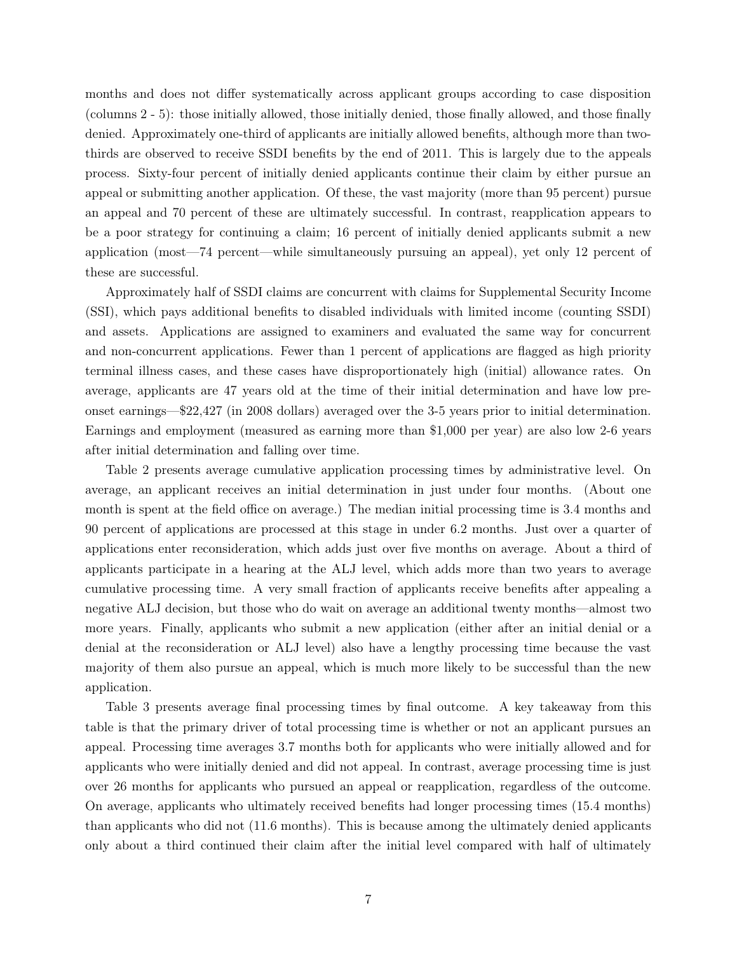months and does not differ systematically across applicant groups according to case disposition (columns 2 - 5): those initially allowed, those initially denied, those finally allowed, and those finally denied. Approximately one-third of applicants are initially allowed benefits, although more than twothirds are observed to receive SSDI benefits by the end of 2011. This is largely due to the appeals process. Sixty-four percent of initially denied applicants continue their claim by either pursue an appeal or submitting another application. Of these, the vast majority (more than 95 percent) pursue an appeal and 70 percent of these are ultimately successful. In contrast, reapplication appears to be a poor strategy for continuing a claim; 16 percent of initially denied applicants submit a new application (most—74 percent—while simultaneously pursuing an appeal), yet only 12 percent of these are successful.

Approximately half of SSDI claims are concurrent with claims for Supplemental Security Income (SSI), which pays additional benefits to disabled individuals with limited income (counting SSDI) and assets. Applications are assigned to examiners and evaluated the same way for concurrent and non-concurrent applications. Fewer than 1 percent of applications are flagged as high priority terminal illness cases, and these cases have disproportionately high (initial) allowance rates. On average, applicants are 47 years old at the time of their initial determination and have low preonset earnings—\$22,427 (in 2008 dollars) averaged over the 3-5 years prior to initial determination. Earnings and employment (measured as earning more than \$1,000 per year) are also low 2-6 years after initial determination and falling over time.

Table 2 presents average cumulative application processing times by administrative level. On average, an applicant receives an initial determination in just under four months. (About one month is spent at the field office on average.) The median initial processing time is 3.4 months and 90 percent of applications are processed at this stage in under 6.2 months. Just over a quarter of applications enter reconsideration, which adds just over five months on average. About a third of applicants participate in a hearing at the ALJ level, which adds more than two years to average cumulative processing time. A very small fraction of applicants receive benefits after appealing a negative ALJ decision, but those who do wait on average an additional twenty months—almost two more years. Finally, applicants who submit a new application (either after an initial denial or a denial at the reconsideration or ALJ level) also have a lengthy processing time because the vast majority of them also pursue an appeal, which is much more likely to be successful than the new application.

Table 3 presents average final processing times by final outcome. A key takeaway from this table is that the primary driver of total processing time is whether or not an applicant pursues an appeal. Processing time averages 3.7 months both for applicants who were initially allowed and for applicants who were initially denied and did not appeal. In contrast, average processing time is just over 26 months for applicants who pursued an appeal or reapplication, regardless of the outcome. On average, applicants who ultimately received benefits had longer processing times (15.4 months) than applicants who did not (11.6 months). This is because among the ultimately denied applicants only about a third continued their claim after the initial level compared with half of ultimately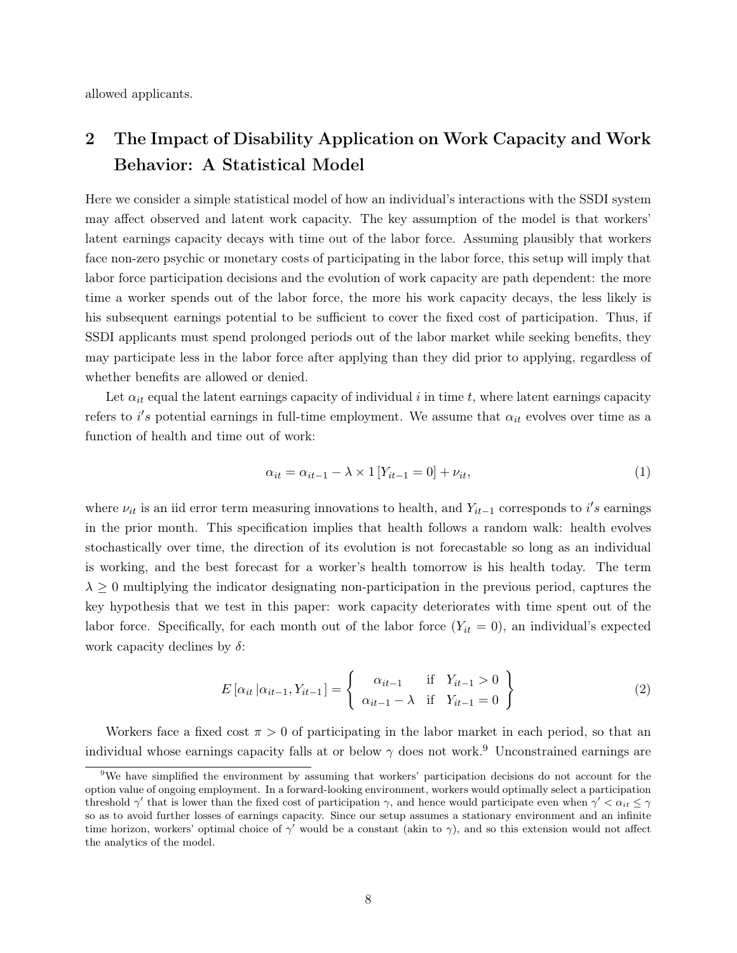allowed applicants.

## 2 The Impact of Disability Application on Work Capacity and Work Behavior: A Statistical Model

Here we consider a simple statistical model of how an individual's interactions with the SSDI system may affect observed and latent work capacity. The key assumption of the model is that workers' latent earnings capacity decays with time out of the labor force. Assuming plausibly that workers face non-zero psychic or monetary costs of participating in the labor force, this setup will imply that labor force participation decisions and the evolution of work capacity are path dependent: the more time a worker spends out of the labor force, the more his work capacity decays, the less likely is his subsequent earnings potential to be sufficient to cover the fixed cost of participation. Thus, if SSDI applicants must spend prolonged periods out of the labor market while seeking benefits, they may participate less in the labor force after applying than they did prior to applying, regardless of whether benefits are allowed or denied.

Let  $\alpha_{it}$  equal the latent earnings capacity of individual i in time t, where latent earnings capacity refers to i's potential earnings in full-time employment. We assume that  $\alpha_{it}$  evolves over time as a function of health and time out of work:

$$
\alpha_{it} = \alpha_{it-1} - \lambda \times 1 \left[ Y_{it-1} = 0 \right] + \nu_{it},\tag{1}
$$

where  $\nu_{it}$  is an iid error term measuring innovations to health, and  $Y_{it-1}$  corresponds to i's earnings in the prior month. This specification implies that health follows a random walk: health evolves stochastically over time, the direction of its evolution is not forecastable so long as an individual is working, and the best forecast for a worker's health tomorrow is his health today. The term  $\lambda \geq 0$  multiplying the indicator designating non-participation in the previous period, captures the key hypothesis that we test in this paper: work capacity deteriorates with time spent out of the labor force. Specifically, for each month out of the labor force  $(Y_{it} = 0)$ , an individual's expected work capacity declines by  $\delta$ :

$$
E\left[\alpha_{it} | \alpha_{it-1}, Y_{it-1}\right] = \begin{cases} \alpha_{it-1} & \text{if } Y_{it-1} > 0 \\ \alpha_{it-1} - \lambda & \text{if } Y_{it-1} = 0 \end{cases}
$$
 (2)

Workers face a fixed cost  $\pi > 0$  of participating in the labor market in each period, so that an individual whose earnings capacity falls at or below  $\gamma$  does not work.<sup>9</sup> Unconstrained earnings are

<sup>&</sup>lt;sup>9</sup>We have simplified the environment by assuming that workers' participation decisions do not account for the option value of ongoing employment. In a forward-looking environment, workers would optimally select a participation threshold  $\gamma'$  that is lower than the fixed cost of participation  $\gamma$ , and hence would participate even when  $\gamma' < \alpha_{it} \leq \gamma$ so as to avoid further losses of earnings capacity. Since our setup assumes a stationary environment and an infinite time horizon, workers' optimal choice of  $\gamma'$  would be a constant (akin to  $\gamma$ ), and so this extension would not affect the analytics of the model.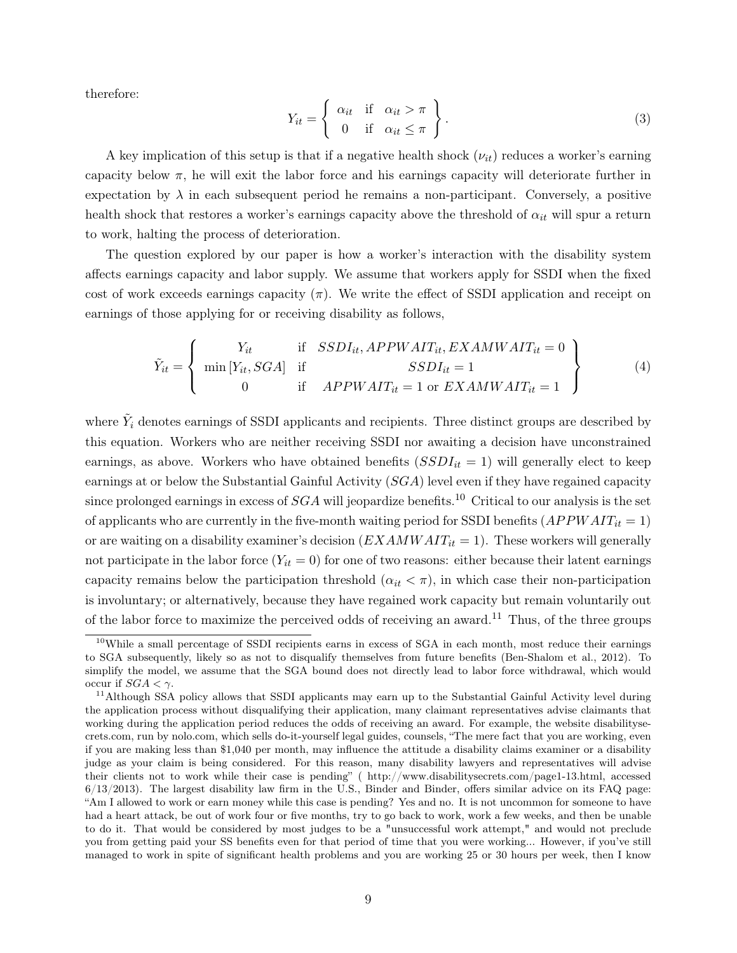therefore:

$$
Y_{it} = \left\{ \begin{array}{ll} \alpha_{it} & \text{if } \alpha_{it} > \pi \\ 0 & \text{if } \alpha_{it} \leq \pi \end{array} \right\} . \tag{3}
$$

A key implication of this setup is that if a negative health shock  $(\nu_{it})$  reduces a worker's earning capacity below  $\pi$ , he will exit the labor force and his earnings capacity will deteriorate further in expectation by  $\lambda$  in each subsequent period he remains a non-participant. Conversely, a positive health shock that restores a worker's earnings capacity above the threshold of  $\alpha_{it}$  will spur a return to work, halting the process of deterioration.

The question explored by our paper is how a worker's interaction with the disability system affects earnings capacity and labor supply. We assume that workers apply for SSDI when the fixed cost of work exceeds earnings capacity  $(\pi)$ . We write the effect of SSDI application and receipt on earnings of those applying for or receiving disability as follows,

$$
\tilde{Y}_{it} = \left\{ \begin{array}{ccc} Y_{it} & \text{if } SSDI_{it}, APPWAIT_{it}, EXAMWAIT_{it} = 0 \\ \min\left[Y_{it}, SGA\right] & \text{if } SDI_{it} = 1 \\ 0 & \text{if } APPWAIT_{it} = 1 \text{ or } EXAMWAIT_{it} = 1 \end{array} \right\} \tag{4}
$$

where  $\tilde{Y}_i$  denotes earnings of SSDI applicants and recipients. Three distinct groups are described by this equation. Workers who are neither receiving SSDI nor awaiting a decision have unconstrained earnings, as above. Workers who have obtained benefits  $(SSDI_{it} = 1)$  will generally elect to keep earnings at or below the Substantial Gainful Activity (SGA) level even if they have regained capacity since prolonged earnings in excess of  $SGA$  will jeopardize benefits.<sup>10</sup> Critical to our analysis is the set of applicants who are currently in the five-month waiting period for SSDI benefits  $(APPWAIT_{it} = 1)$ or are waiting on a disability examiner's decision  $(EXAMWAIT_{it} = 1)$ . These workers will generally not participate in the labor force  $(Y_{it} = 0)$  for one of two reasons: either because their latent earnings capacity remains below the participation threshold  $(\alpha_{it} < \pi)$ , in which case their non-participation is involuntary; or alternatively, because they have regained work capacity but remain voluntarily out of the labor force to maximize the perceived odds of receiving an award.<sup>11</sup> Thus, of the three groups

<sup>&</sup>lt;sup>10</sup>While a small percentage of SSDI recipients earns in excess of SGA in each month, most reduce their earnings to SGA subsequently, likely so as not to disqualify themselves from future benefits (Ben-Shalom et al., 2012). To simplify the model, we assume that the SGA bound does not directly lead to labor force withdrawal, which would occur if  $SGA < \gamma$ .

<sup>&</sup>lt;sup>11</sup>Although SSA policy allows that SSDI applicants may earn up to the Substantial Gainful Activity level during the application process without disqualifying their application, many claimant representatives advise claimants that working during the application period reduces the odds of receiving an award. For example, the website disabilitysecrets.com, run by nolo.com, which sells do-it-yourself legal guides, counsels, "The mere fact that you are working, even if you are making less than \$1,040 per month, may influence the attitude a disability claims examiner or a disability judge as your claim is being considered. For this reason, many disability lawyers and representatives will advise their clients not to work while their case is pending" ( http://www.disabilitysecrets.com/page1-13.html, accessed 6/13/2013). The largest disability law firm in the U.S., Binder and Binder, offers similar advice on its FAQ page: "Am I allowed to work or earn money while this case is pending? Yes and no. It is not uncommon for someone to have had a heart attack, be out of work four or five months, try to go back to work, work a few weeks, and then be unable to do it. That would be considered by most judges to be a "unsuccessful work attempt," and would not preclude you from getting paid your SS benefits even for that period of time that you were working... However, if you've still managed to work in spite of significant health problems and you are working 25 or 30 hours per week, then I know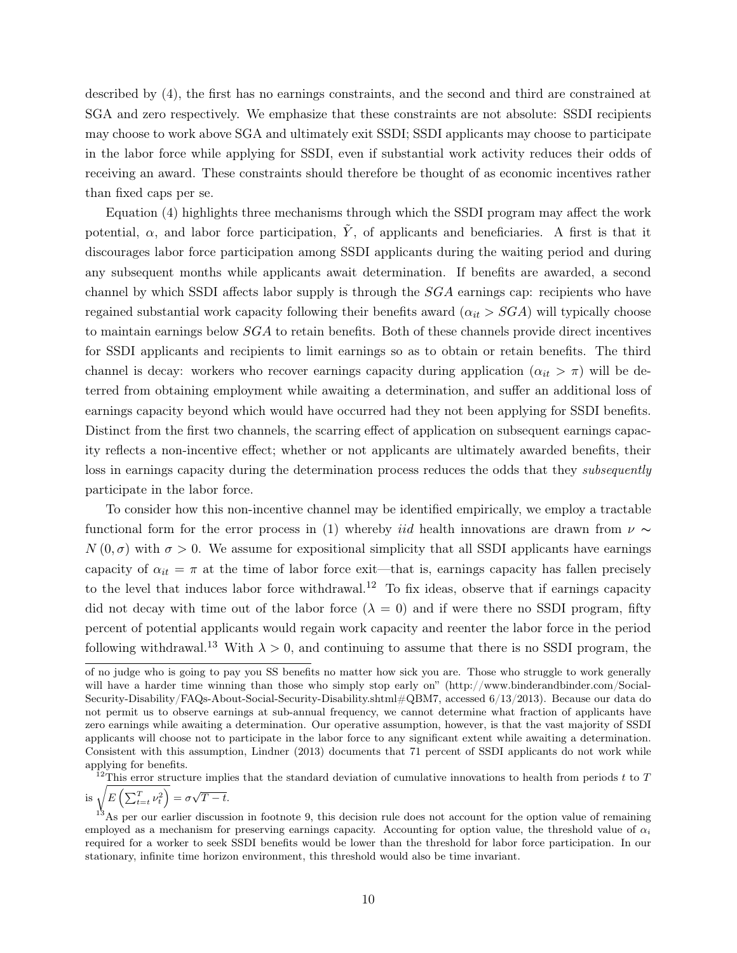described by (4), the first has no earnings constraints, and the second and third are constrained at SGA and zero respectively. We emphasize that these constraints are not absolute: SSDI recipients may choose to work above SGA and ultimately exit SSDI; SSDI applicants may choose to participate in the labor force while applying for SSDI, even if substantial work activity reduces their odds of receiving an award. These constraints should therefore be thought of as economic incentives rather than fixed caps per se.

Equation (4) highlights three mechanisms through which the SSDI program may affect the work potential,  $\alpha$ , and labor force participation, Y , of applicants and beneficiaries. A first is that it discourages labor force participation among SSDI applicants during the waiting period and during any subsequent months while applicants await determination. If benefits are awarded, a second channel by which SSDI affects labor supply is through the SGA earnings cap: recipients who have regained substantial work capacity following their benefits award  $(\alpha_{it} > SGA)$  will typically choose to maintain earnings below SGA to retain benefits. Both of these channels provide direct incentives for SSDI applicants and recipients to limit earnings so as to obtain or retain benefits. The third channel is decay: workers who recover earnings capacity during application  $(\alpha_{it} > \pi)$  will be deterred from obtaining employment while awaiting a determination, and suffer an additional loss of earnings capacity beyond which would have occurred had they not been applying for SSDI benefits. Distinct from the first two channels, the scarring effect of application on subsequent earnings capacity reflects a non-incentive effect; whether or not applicants are ultimately awarded benefits, their loss in earnings capacity during the determination process reduces the odds that they *subsequently* participate in the labor force.

To consider how this non-incentive channel may be identified empirically, we employ a tractable functional form for the error process in (1) whereby *iid* health innovations are drawn from  $\nu \sim$  $N(0, \sigma)$  with  $\sigma > 0$ . We assume for expositional simplicity that all SSDI applicants have earnings capacity of  $\alpha_{it} = \pi$  at the time of labor force exit—that is, earnings capacity has fallen precisely to the level that induces labor force withdrawal.<sup>12</sup> To fix ideas, observe that if earnings capacity did not decay with time out of the labor force  $(\lambda = 0)$  and if were there no SSDI program, fifty percent of potential applicants would regain work capacity and reenter the labor force in the period following withdrawal.<sup>13</sup> With  $\lambda > 0$ , and continuing to assume that there is no SSDI program, the

is 
$$
\sqrt{E\left(\sum_{t=t}^{T} \nu_t^2\right)} = \sigma \sqrt{T-t}.
$$

of no judge who is going to pay you SS benefits no matter how sick you are. Those who struggle to work generally will have a harder time winning than those who simply stop early on" (http://www.binderandbinder.com/Social-Security-Disability/FAQs-About-Social-Security-Disability.shtml#QBM7, accessed 6/13/2013). Because our data do not permit us to observe earnings at sub-annual frequency, we cannot determine what fraction of applicants have zero earnings while awaiting a determination. Our operative assumption, however, is that the vast majority of SSDI applicants will choose not to participate in the labor force to any significant extent while awaiting a determination. Consistent with this assumption, Lindner (2013) documents that 71 percent of SSDI applicants do not work while applying for benefits.

<sup>&</sup>lt;sup>12</sup>This error structure implies that the standard deviation of cumulative innovations to health from periods t to T is  $\sqrt{ }$ 2  $\Delta$ √

<sup>13</sup>As per our earlier discussion in footnote 9, this decision rule does not account for the option value of remaining employed as a mechanism for preserving earnings capacity. Accounting for option value, the threshold value of  $\alpha_i$ required for a worker to seek SSDI benefits would be lower than the threshold for labor force participation. In our stationary, infinite time horizon environment, this threshold would also be time invariant.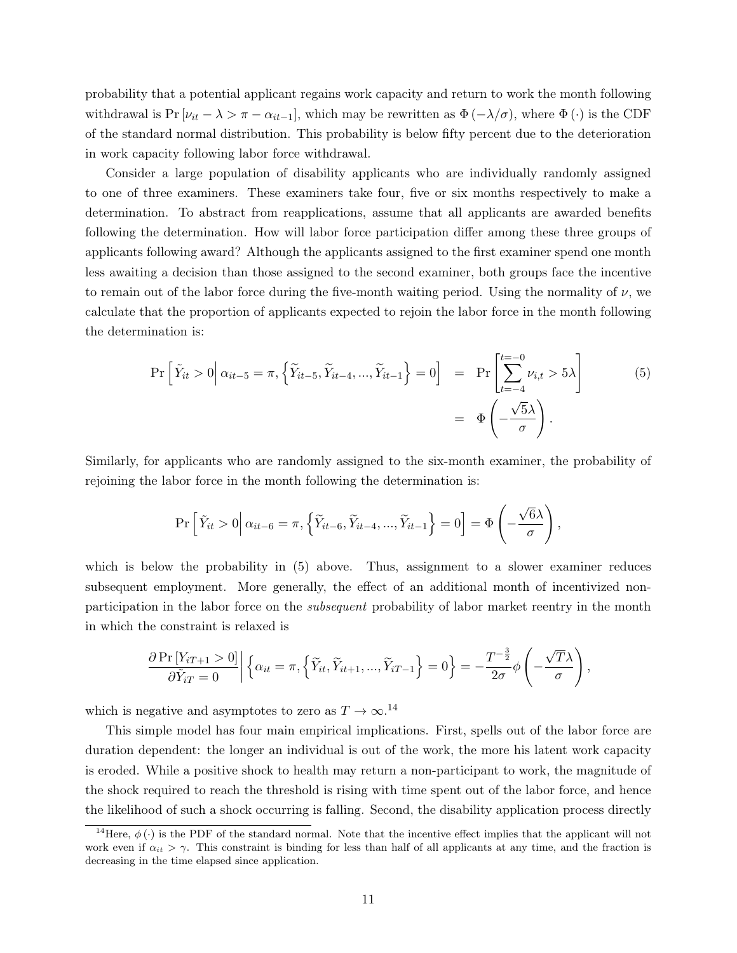probability that a potential applicant regains work capacity and return to work the month following withdrawal is Pr  $[\nu_{it} - \lambda > \pi - \alpha_{it-1}]$ , which may be rewritten as  $\Phi(-\lambda/\sigma)$ , where  $\Phi(\cdot)$  is the CDF of the standard normal distribution. This probability is below fifty percent due to the deterioration in work capacity following labor force withdrawal.

Consider a large population of disability applicants who are individually randomly assigned to one of three examiners. These examiners take four, five or six months respectively to make a determination. To abstract from reapplications, assume that all applicants are awarded benefits following the determination. How will labor force participation differ among these three groups of applicants following award? Although the applicants assigned to the first examiner spend one month less awaiting a decision than those assigned to the second examiner, both groups face the incentive to remain out of the labor force during the five-month waiting period. Using the normality of  $\nu$ , we calculate that the proportion of applicants expected to rejoin the labor force in the month following the determination is:

$$
\Pr\left[\tilde{Y}_{it} > 0 \middle| \alpha_{it-5} = \pi, \left\{\tilde{Y}_{it-5}, \tilde{Y}_{it-4}, \dots, \tilde{Y}_{it-1}\right\} = 0\right] = \Pr\left[\sum_{t=-4}^{t=-0} \nu_{i,t} > 5\lambda\right] \tag{5}
$$
\n
$$
= \Phi\left(-\frac{\sqrt{5}\lambda}{\sigma}\right).
$$

Similarly, for applicants who are randomly assigned to the six-month examiner, the probability of rejoining the labor force in the month following the determination is:

$$
\Pr\left[\tilde{Y}_{it} > 0 \middle| \alpha_{it-6} = \pi, \left\{\tilde{Y}_{it-6}, \tilde{Y}_{it-4}, ..., \tilde{Y}_{it-1}\right\} = 0\right] = \Phi\left(-\frac{\sqrt{6}\lambda}{\sigma}\right),\,
$$

which is below the probability in  $(5)$  above. Thus, assignment to a slower examiner reduces subsequent employment. More generally, the effect of an additional month of incentivized nonparticipation in the labor force on the subsequent probability of labor market reentry in the month in which the constraint is relaxed is

$$
\frac{\partial \Pr\left[Y_{iT+1} > 0\right]}{\partial \tilde{Y}_{iT} = 0} \left| \left\{ \alpha_{it} = \pi, \left\{ \tilde{Y}_{it}, \tilde{Y}_{it+1}, ..., \tilde{Y}_{iT-1} \right\} = 0 \right\} \right| = -\frac{T^{-\frac{3}{2}}}{2\sigma} \phi \left( -\frac{\sqrt{T}\lambda}{\sigma} \right),
$$

which is negative and asymptotes to zero as  $T \to \infty$ .<sup>14</sup>

This simple model has four main empirical implications. First, spells out of the labor force are duration dependent: the longer an individual is out of the work, the more his latent work capacity is eroded. While a positive shock to health may return a non-participant to work, the magnitude of the shock required to reach the threshold is rising with time spent out of the labor force, and hence the likelihood of such a shock occurring is falling. Second, the disability application process directly

<sup>&</sup>lt;sup>14</sup>Here,  $\phi$  (·) is the PDF of the standard normal. Note that the incentive effect implies that the applicant will not work even if  $\alpha_{it} > \gamma$ . This constraint is binding for less than half of all applicants at any time, and the fraction is decreasing in the time elapsed since application.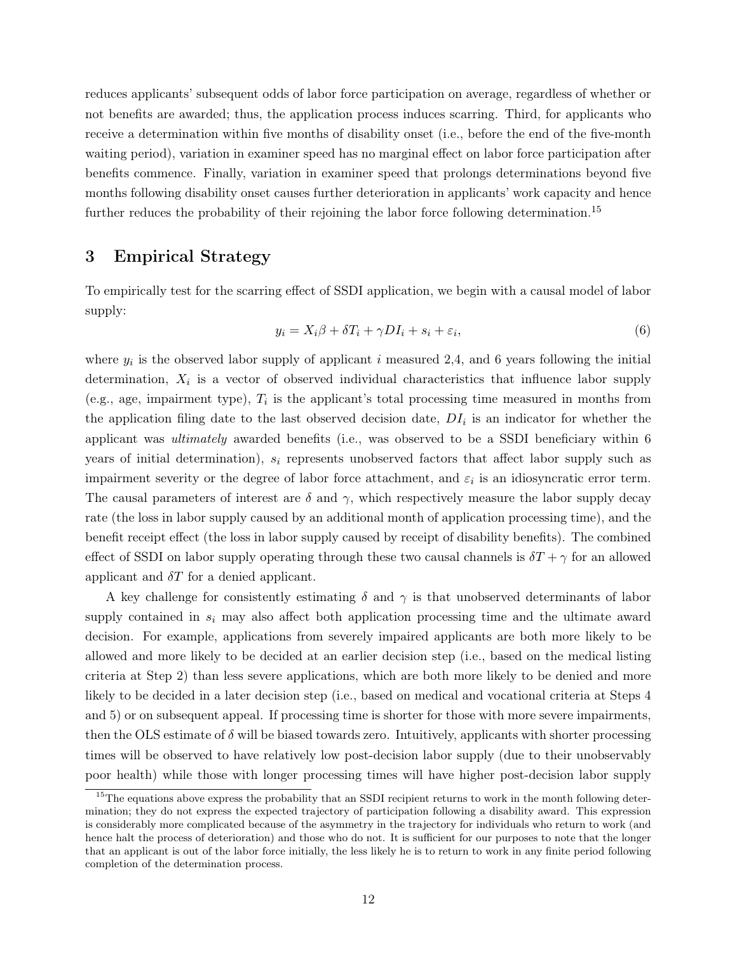reduces applicants' subsequent odds of labor force participation on average, regardless of whether or not benefits are awarded; thus, the application process induces scarring. Third, for applicants who receive a determination within five months of disability onset (i.e., before the end of the five-month waiting period), variation in examiner speed has no marginal effect on labor force participation after benefits commence. Finally, variation in examiner speed that prolongs determinations beyond five months following disability onset causes further deterioration in applicants' work capacity and hence further reduces the probability of their rejoining the labor force following determination.<sup>15</sup>

#### 3 Empirical Strategy

To empirically test for the scarring effect of SSDI application, we begin with a causal model of labor supply:

$$
y_i = X_i \beta + \delta T_i + \gamma D I_i + s_i + \varepsilon_i,\tag{6}
$$

where  $y_i$  is the observed labor supply of applicant i measured 2,4, and 6 years following the initial determination,  $X_i$  is a vector of observed individual characteristics that influence labor supply (e.g., age, impairment type),  $T_i$  is the applicant's total processing time measured in months from the application filing date to the last observed decision date,  $DI_i$  is an indicator for whether the applicant was *ultimately* awarded benefits (i.e., was observed to be a SSDI beneficiary within 6 years of initial determination),  $s_i$  represents unobserved factors that affect labor supply such as impairment severity or the degree of labor force attachment, and  $\varepsilon_i$  is an idiosyncratic error term. The causal parameters of interest are  $\delta$  and  $\gamma$ , which respectively measure the labor supply decay rate (the loss in labor supply caused by an additional month of application processing time), and the benefit receipt effect (the loss in labor supply caused by receipt of disability benefits). The combined effect of SSDI on labor supply operating through these two causal channels is  $\delta T + \gamma$  for an allowed applicant and  $\delta T$  for a denied applicant.

A key challenge for consistently estimating  $\delta$  and  $\gamma$  is that unobserved determinants of labor supply contained in  $s_i$  may also affect both application processing time and the ultimate award decision. For example, applications from severely impaired applicants are both more likely to be allowed and more likely to be decided at an earlier decision step (i.e., based on the medical listing criteria at Step 2) than less severe applications, which are both more likely to be denied and more likely to be decided in a later decision step (i.e., based on medical and vocational criteria at Steps 4 and 5) or on subsequent appeal. If processing time is shorter for those with more severe impairments, then the OLS estimate of  $\delta$  will be biased towards zero. Intuitively, applicants with shorter processing times will be observed to have relatively low post-decision labor supply (due to their unobservably poor health) while those with longer processing times will have higher post-decision labor supply

<sup>&</sup>lt;sup>15</sup>The equations above express the probability that an SSDI recipient returns to work in the month following determination; they do not express the expected trajectory of participation following a disability award. This expression is considerably more complicated because of the asymmetry in the trajectory for individuals who return to work (and hence halt the process of deterioration) and those who do not. It is sufficient for our purposes to note that the longer that an applicant is out of the labor force initially, the less likely he is to return to work in any finite period following completion of the determination process.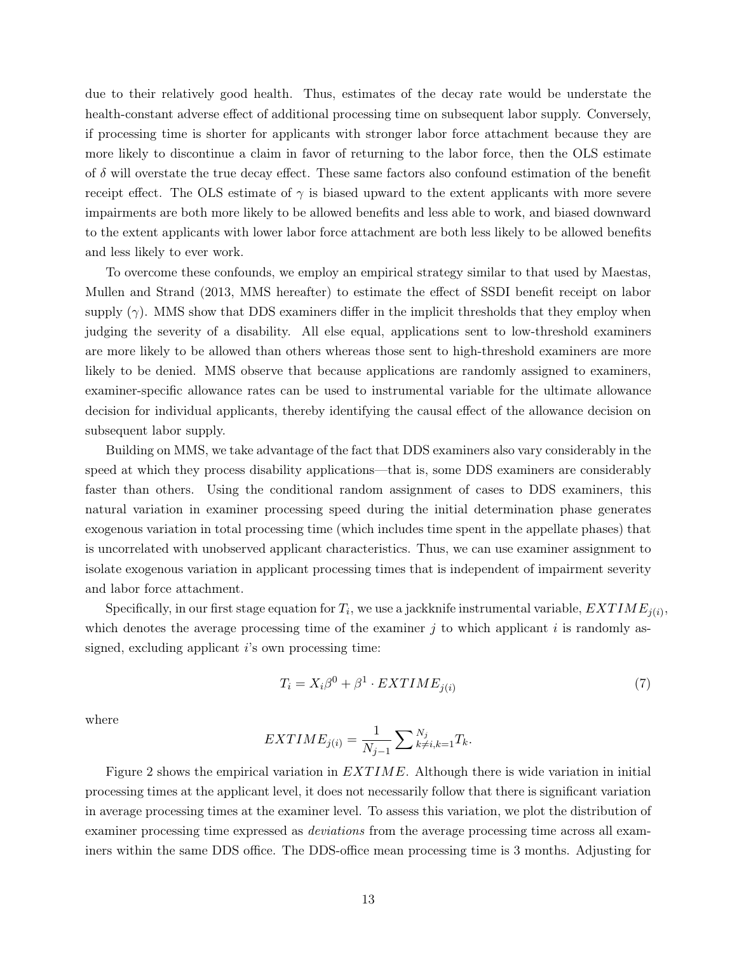due to their relatively good health. Thus, estimates of the decay rate would be understate the health-constant adverse effect of additional processing time on subsequent labor supply. Conversely, if processing time is shorter for applicants with stronger labor force attachment because they are more likely to discontinue a claim in favor of returning to the labor force, then the OLS estimate of  $\delta$  will overstate the true decay effect. These same factors also confound estimation of the benefit receipt effect. The OLS estimate of  $\gamma$  is biased upward to the extent applicants with more severe impairments are both more likely to be allowed benefits and less able to work, and biased downward to the extent applicants with lower labor force attachment are both less likely to be allowed benefits and less likely to ever work.

To overcome these confounds, we employ an empirical strategy similar to that used by Maestas, Mullen and Strand (2013, MMS hereafter) to estimate the effect of SSDI benefit receipt on labor supply  $(\gamma)$ . MMS show that DDS examiners differ in the implicit thresholds that they employ when judging the severity of a disability. All else equal, applications sent to low-threshold examiners are more likely to be allowed than others whereas those sent to high-threshold examiners are more likely to be denied. MMS observe that because applications are randomly assigned to examiners, examiner-specific allowance rates can be used to instrumental variable for the ultimate allowance decision for individual applicants, thereby identifying the causal effect of the allowance decision on subsequent labor supply.

Building on MMS, we take advantage of the fact that DDS examiners also vary considerably in the speed at which they process disability applications—that is, some DDS examiners are considerably faster than others. Using the conditional random assignment of cases to DDS examiners, this natural variation in examiner processing speed during the initial determination phase generates exogenous variation in total processing time (which includes time spent in the appellate phases) that is uncorrelated with unobserved applicant characteristics. Thus, we can use examiner assignment to isolate exogenous variation in applicant processing times that is independent of impairment severity and labor force attachment.

Specifically, in our first stage equation for  $T_i$ , we use a jackknife instrumental variable,  $EXTIME_{j(i)}$ , which denotes the average processing time of the examiner  $j$  to which applicant  $i$  is randomly assigned, excluding applicant  $i$ 's own processing time:

$$
T_i = X_i \beta^0 + \beta^1 \cdot EXTIME_{j(i)} \tag{7}
$$

where

$$
EXTIME_{j(i)} = \frac{1}{N_{j-1}} \sum\nolimits_{k \neq i,k=1}^{N_j} T_k.
$$

Figure 2 shows the empirical variation in  $EXTIME$ . Although there is wide variation in initial processing times at the applicant level, it does not necessarily follow that there is significant variation in average processing times at the examiner level. To assess this variation, we plot the distribution of examiner processing time expressed as *deviations* from the average processing time across all examiners within the same DDS office. The DDS-office mean processing time is 3 months. Adjusting for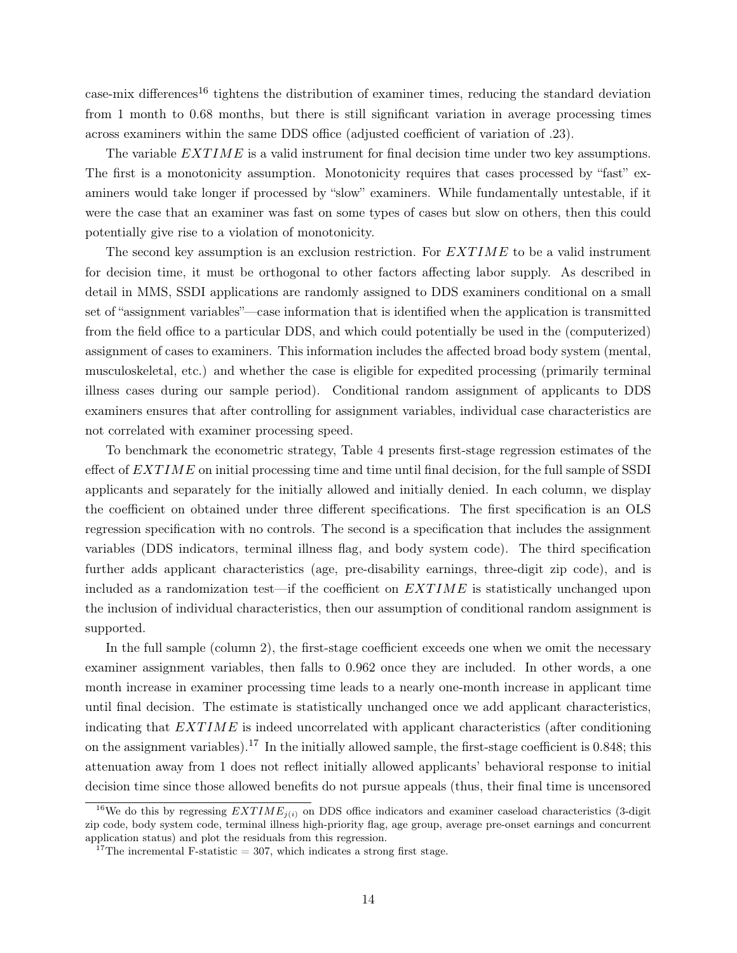case-mix differences<sup>16</sup> tightens the distribution of examiner times, reducing the standard deviation from 1 month to 0.68 months, but there is still significant variation in average processing times across examiners within the same DDS office (adjusted coefficient of variation of .23).

The variable EXTIME is a valid instrument for final decision time under two key assumptions. The first is a monotonicity assumption. Monotonicity requires that cases processed by "fast" examiners would take longer if processed by "slow" examiners. While fundamentally untestable, if it were the case that an examiner was fast on some types of cases but slow on others, then this could potentially give rise to a violation of monotonicity.

The second key assumption is an exclusion restriction. For  $EXTIME$  to be a valid instrument for decision time, it must be orthogonal to other factors affecting labor supply. As described in detail in MMS, SSDI applications are randomly assigned to DDS examiners conditional on a small set of "assignment variables"—case information that is identified when the application is transmitted from the field office to a particular DDS, and which could potentially be used in the (computerized) assignment of cases to examiners. This information includes the affected broad body system (mental, musculoskeletal, etc.) and whether the case is eligible for expedited processing (primarily terminal illness cases during our sample period). Conditional random assignment of applicants to DDS examiners ensures that after controlling for assignment variables, individual case characteristics are not correlated with examiner processing speed.

To benchmark the econometric strategy, Table 4 presents first-stage regression estimates of the effect of  $EXTIME$  on initial processing time and time until final decision, for the full sample of SSDI applicants and separately for the initially allowed and initially denied. In each column, we display the coefficient on obtained under three different specifications. The first specification is an OLS regression specification with no controls. The second is a specification that includes the assignment variables (DDS indicators, terminal illness flag, and body system code). The third specification further adds applicant characteristics (age, pre-disability earnings, three-digit zip code), and is included as a randomization test—if the coefficient on  $EXTIME$  is statistically unchanged upon the inclusion of individual characteristics, then our assumption of conditional random assignment is supported.

In the full sample (column 2), the first-stage coefficient exceeds one when we omit the necessary examiner assignment variables, then falls to 0.962 once they are included. In other words, a one month increase in examiner processing time leads to a nearly one-month increase in applicant time until final decision. The estimate is statistically unchanged once we add applicant characteristics, indicating that  $EXTIME$  is indeed uncorrelated with applicant characteristics (after conditioning on the assignment variables).<sup>17</sup> In the initially allowed sample, the first-stage coefficient is 0.848; this attenuation away from 1 does not reflect initially allowed applicants' behavioral response to initial decision time since those allowed benefits do not pursue appeals (thus, their final time is uncensored

<sup>&</sup>lt;sup>16</sup>We do this by regressing  $EXTIME_{j(i)}$  on DDS office indicators and examiner caseload characteristics (3-digit zip code, body system code, terminal illness high-priority flag, age group, average pre-onset earnings and concurrent application status) and plot the residuals from this regression.

 $17$ The incremental F-statistic = 307, which indicates a strong first stage.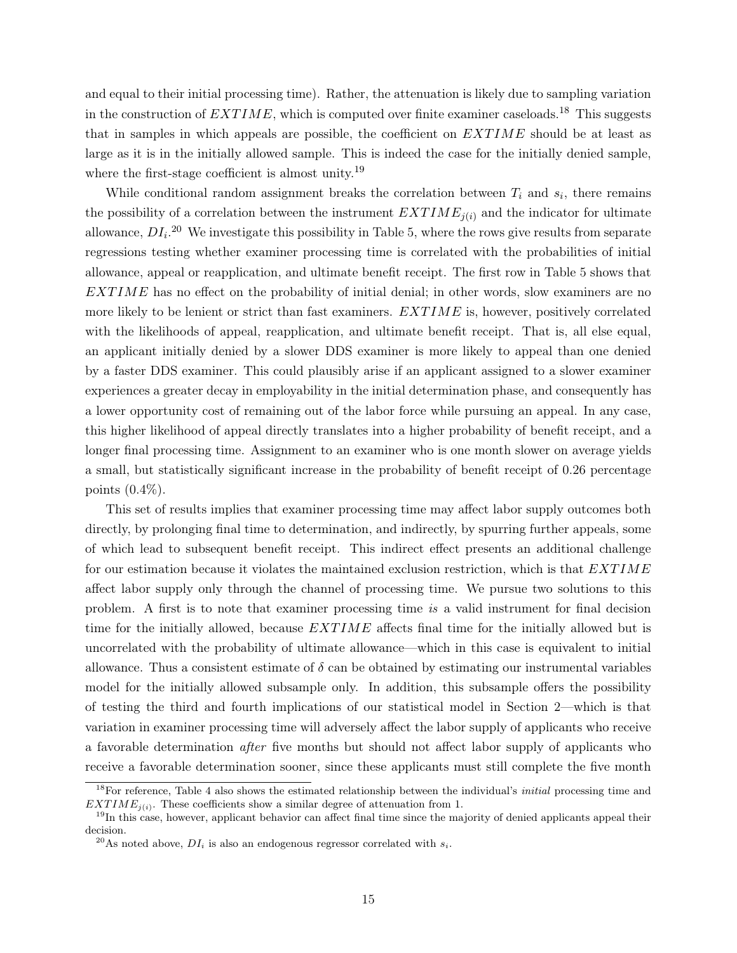and equal to their initial processing time). Rather, the attenuation is likely due to sampling variation in the construction of  $EXTIME$ , which is computed over finite examiner caseloads.<sup>18</sup> This suggests that in samples in which appeals are possible, the coefficient on  $EXTIME$  should be at least as large as it is in the initially allowed sample. This is indeed the case for the initially denied sample, where the first-stage coefficient is almost unity.<sup>19</sup>

While conditional random assignment breaks the correlation between  $T_i$  and  $s_i$ , there remains the possibility of a correlation between the instrument  $EXTIME_{i(i)}$  and the indicator for ultimate allowance,  $DI_i$ <sup>20</sup> We investigate this possibility in Table 5, where the rows give results from separate regressions testing whether examiner processing time is correlated with the probabilities of initial allowance, appeal or reapplication, and ultimate benefit receipt. The first row in Table 5 shows that  $EXTIME$  has no effect on the probability of initial denial; in other words, slow examiners are no more likely to be lenient or strict than fast examiners. EXTIME is, however, positively correlated with the likelihoods of appeal, reapplication, and ultimate benefit receipt. That is, all else equal, an applicant initially denied by a slower DDS examiner is more likely to appeal than one denied by a faster DDS examiner. This could plausibly arise if an applicant assigned to a slower examiner experiences a greater decay in employability in the initial determination phase, and consequently has a lower opportunity cost of remaining out of the labor force while pursuing an appeal. In any case, this higher likelihood of appeal directly translates into a higher probability of benefit receipt, and a longer final processing time. Assignment to an examiner who is one month slower on average yields a small, but statistically significant increase in the probability of benefit receipt of 0.26 percentage points  $(0.4\%)$ .

This set of results implies that examiner processing time may affect labor supply outcomes both directly, by prolonging final time to determination, and indirectly, by spurring further appeals, some of which lead to subsequent benefit receipt. This indirect effect presents an additional challenge for our estimation because it violates the maintained exclusion restriction, which is that  $EXTIME$ affect labor supply only through the channel of processing time. We pursue two solutions to this problem. A first is to note that examiner processing time is a valid instrument for final decision time for the initially allowed, because  $EXTIME$  affects final time for the initially allowed but is uncorrelated with the probability of ultimate allowance—which in this case is equivalent to initial allowance. Thus a consistent estimate of  $\delta$  can be obtained by estimating our instrumental variables model for the initially allowed subsample only. In addition, this subsample offers the possibility of testing the third and fourth implications of our statistical model in Section 2—which is that variation in examiner processing time will adversely affect the labor supply of applicants who receive a favorable determination after five months but should not affect labor supply of applicants who receive a favorable determination sooner, since these applicants must still complete the five month

<sup>&</sup>lt;sup>18</sup>For reference, Table 4 also shows the estimated relationship between the individual's *initial* processing time and  $EXTIME_{i(i)}$ . These coefficients show a similar degree of attenuation from 1.

 $19$ In this case, however, applicant behavior can affect final time since the majority of denied applicants appeal their decision.

<sup>&</sup>lt;sup>20</sup>As noted above,  $DI_i$  is also an endogenous regressor correlated with  $s_i$ .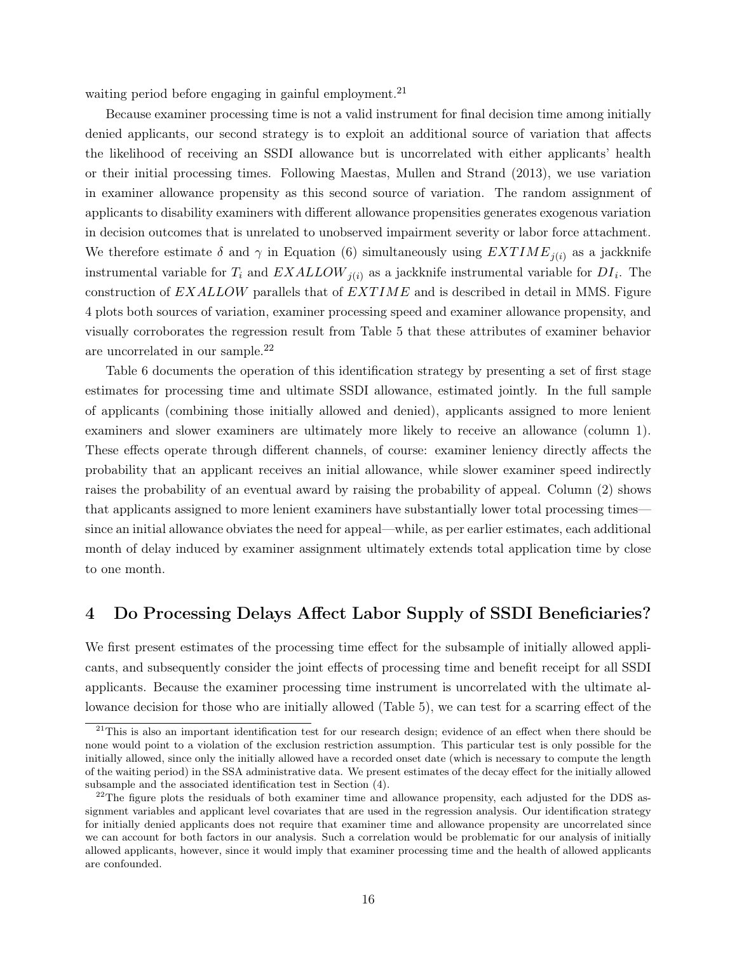waiting period before engaging in gainful employment.<sup>21</sup>

Because examiner processing time is not a valid instrument for final decision time among initially denied applicants, our second strategy is to exploit an additional source of variation that affects the likelihood of receiving an SSDI allowance but is uncorrelated with either applicants' health or their initial processing times. Following Maestas, Mullen and Strand (2013), we use variation in examiner allowance propensity as this second source of variation. The random assignment of applicants to disability examiners with different allowance propensities generates exogenous variation in decision outcomes that is unrelated to unobserved impairment severity or labor force attachment. We therefore estimate  $\delta$  and  $\gamma$  in Equation (6) simultaneously using  $EXTIME_{i(i)}$  as a jackknife instrumental variable for  $T_i$  and  $EXALLOW_{j(i)}$  as a jackknife instrumental variable for  $DI_i$ . The construction of  $EXALLOW$  parallels that of  $EXTIME$  and is described in detail in MMS. Figure 4 plots both sources of variation, examiner processing speed and examiner allowance propensity, and visually corroborates the regression result from Table 5 that these attributes of examiner behavior are uncorrelated in our sample.<sup>22</sup>

Table 6 documents the operation of this identification strategy by presenting a set of first stage estimates for processing time and ultimate SSDI allowance, estimated jointly. In the full sample of applicants (combining those initially allowed and denied), applicants assigned to more lenient examiners and slower examiners are ultimately more likely to receive an allowance (column 1). These effects operate through different channels, of course: examiner leniency directly affects the probability that an applicant receives an initial allowance, while slower examiner speed indirectly raises the probability of an eventual award by raising the probability of appeal. Column (2) shows that applicants assigned to more lenient examiners have substantially lower total processing times since an initial allowance obviates the need for appeal—while, as per earlier estimates, each additional month of delay induced by examiner assignment ultimately extends total application time by close to one month.

## 4 Do Processing Delays Affect Labor Supply of SSDI Beneficiaries?

We first present estimates of the processing time effect for the subsample of initially allowed applicants, and subsequently consider the joint effects of processing time and benefit receipt for all SSDI applicants. Because the examiner processing time instrument is uncorrelated with the ultimate allowance decision for those who are initially allowed (Table 5), we can test for a scarring effect of the

<sup>&</sup>lt;sup>21</sup>This is also an important identification test for our research design; evidence of an effect when there should be none would point to a violation of the exclusion restriction assumption. This particular test is only possible for the initially allowed, since only the initially allowed have a recorded onset date (which is necessary to compute the length of the waiting period) in the SSA administrative data. We present estimates of the decay effect for the initially allowed subsample and the associated identification test in Section (4).

 $^{22}$ The figure plots the residuals of both examiner time and allowance propensity, each adjusted for the DDS assignment variables and applicant level covariates that are used in the regression analysis. Our identification strategy for initially denied applicants does not require that examiner time and allowance propensity are uncorrelated since we can account for both factors in our analysis. Such a correlation would be problematic for our analysis of initially allowed applicants, however, since it would imply that examiner processing time and the health of allowed applicants are confounded.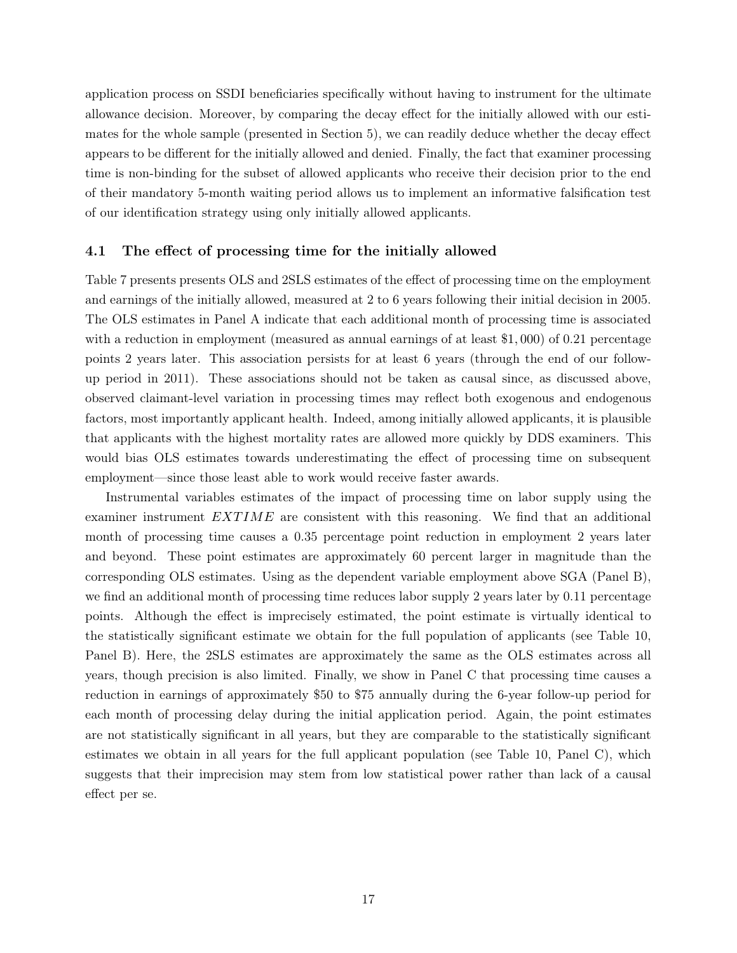application process on SSDI beneficiaries specifically without having to instrument for the ultimate allowance decision. Moreover, by comparing the decay effect for the initially allowed with our estimates for the whole sample (presented in Section 5), we can readily deduce whether the decay effect appears to be different for the initially allowed and denied. Finally, the fact that examiner processing time is non-binding for the subset of allowed applicants who receive their decision prior to the end of their mandatory 5-month waiting period allows us to implement an informative falsification test of our identification strategy using only initially allowed applicants.

#### 4.1 The effect of processing time for the initially allowed

Table 7 presents presents OLS and 2SLS estimates of the effect of processing time on the employment and earnings of the initially allowed, measured at 2 to 6 years following their initial decision in 2005. The OLS estimates in Panel A indicate that each additional month of processing time is associated with a reduction in employment (measured as annual earnings of at least \$1,000) of 0.21 percentage points 2 years later. This association persists for at least 6 years (through the end of our followup period in 2011). These associations should not be taken as causal since, as discussed above, observed claimant-level variation in processing times may reflect both exogenous and endogenous factors, most importantly applicant health. Indeed, among initially allowed applicants, it is plausible that applicants with the highest mortality rates are allowed more quickly by DDS examiners. This would bias OLS estimates towards underestimating the effect of processing time on subsequent employment—since those least able to work would receive faster awards.

Instrumental variables estimates of the impact of processing time on labor supply using the examiner instrument  $EXTIME$  are consistent with this reasoning. We find that an additional month of processing time causes a 0.35 percentage point reduction in employment 2 years later and beyond. These point estimates are approximately 60 percent larger in magnitude than the corresponding OLS estimates. Using as the dependent variable employment above SGA (Panel B), we find an additional month of processing time reduces labor supply 2 years later by 0.11 percentage points. Although the effect is imprecisely estimated, the point estimate is virtually identical to the statistically significant estimate we obtain for the full population of applicants (see Table 10, Panel B). Here, the 2SLS estimates are approximately the same as the OLS estimates across all years, though precision is also limited. Finally, we show in Panel C that processing time causes a reduction in earnings of approximately \$50 to \$75 annually during the 6-year follow-up period for each month of processing delay during the initial application period. Again, the point estimates are not statistically significant in all years, but they are comparable to the statistically significant estimates we obtain in all years for the full applicant population (see Table 10, Panel C), which suggests that their imprecision may stem from low statistical power rather than lack of a causal effect per se.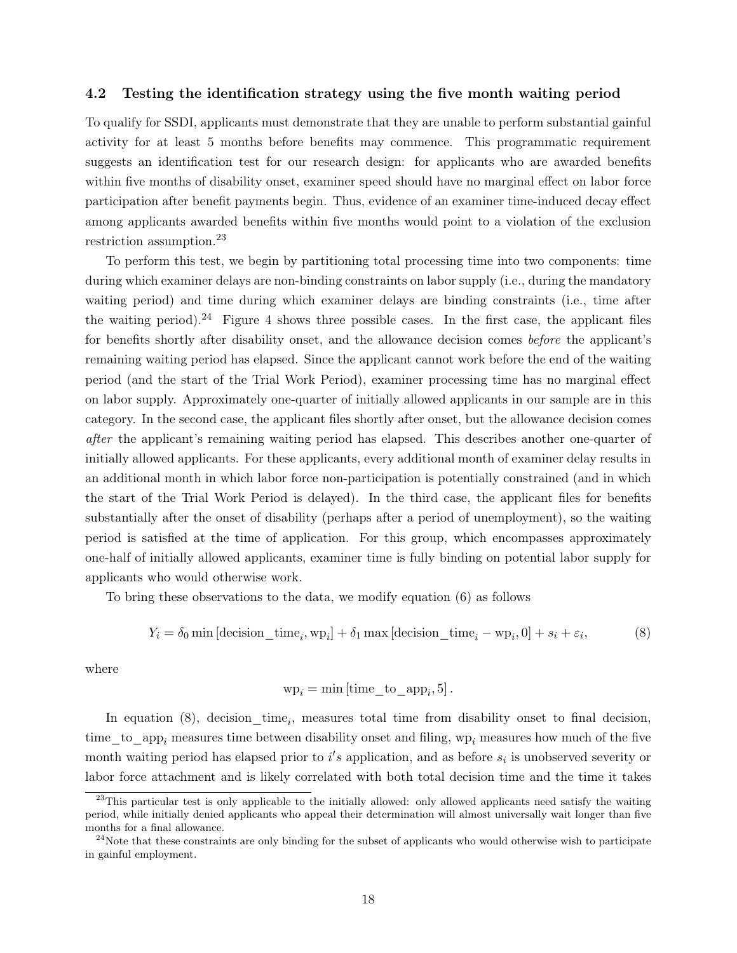#### 4.2 Testing the identification strategy using the five month waiting period

To qualify for SSDI, applicants must demonstrate that they are unable to perform substantial gainful activity for at least 5 months before benefits may commence. This programmatic requirement suggests an identification test for our research design: for applicants who are awarded benefits within five months of disability onset, examiner speed should have no marginal effect on labor force participation after benefit payments begin. Thus, evidence of an examiner time-induced decay effect among applicants awarded benefits within five months would point to a violation of the exclusion restriction assumption.<sup>23</sup>

To perform this test, we begin by partitioning total processing time into two components: time during which examiner delays are non-binding constraints on labor supply (i.e., during the mandatory waiting period) and time during which examiner delays are binding constraints (i.e., time after the waiting period).<sup>24</sup> Figure 4 shows three possible cases. In the first case, the applicant files for benefits shortly after disability onset, and the allowance decision comes before the applicant's remaining waiting period has elapsed. Since the applicant cannot work before the end of the waiting period (and the start of the Trial Work Period), examiner processing time has no marginal effect on labor supply. Approximately one-quarter of initially allowed applicants in our sample are in this category. In the second case, the applicant files shortly after onset, but the allowance decision comes after the applicant's remaining waiting period has elapsed. This describes another one-quarter of initially allowed applicants. For these applicants, every additional month of examiner delay results in an additional month in which labor force non-participation is potentially constrained (and in which the start of the Trial Work Period is delayed). In the third case, the applicant files for benefits substantially after the onset of disability (perhaps after a period of unemployment), so the waiting period is satisfied at the time of application. For this group, which encompasses approximately one-half of initially allowed applicants, examiner time is fully binding on potential labor supply for applicants who would otherwise work.

To bring these observations to the data, we modify equation (6) as follows

$$
Y_i = \delta_0 \min \left[ \text{decision\_time}_i, \text{wp}_i \right] + \delta_1 \max \left[ \text{decision\_time}_i - \text{wp}_i, 0 \right] + s_i + \varepsilon_i,\tag{8}
$$

where

$$
wp_i = min[time_to_app_i, 5].
$$

In equation (8), decision\_time<sub>i</sub>, measures total time from disability onset to final decision, time\_to\_app<sub>i</sub> measures time between disability onset and filing, wp<sub>i</sub> measures how much of the five month waiting period has elapsed prior to  $i's$  application, and as before  $s_i$  is unobserved severity or labor force attachment and is likely correlated with both total decision time and the time it takes

<sup>&</sup>lt;sup>23</sup>This particular test is only applicable to the initially allowed: only allowed applicants need satisfy the waiting period, while initially denied applicants who appeal their determination will almost universally wait longer than five months for a final allowance.

 $24$ Note that these constraints are only binding for the subset of applicants who would otherwise wish to participate in gainful employment.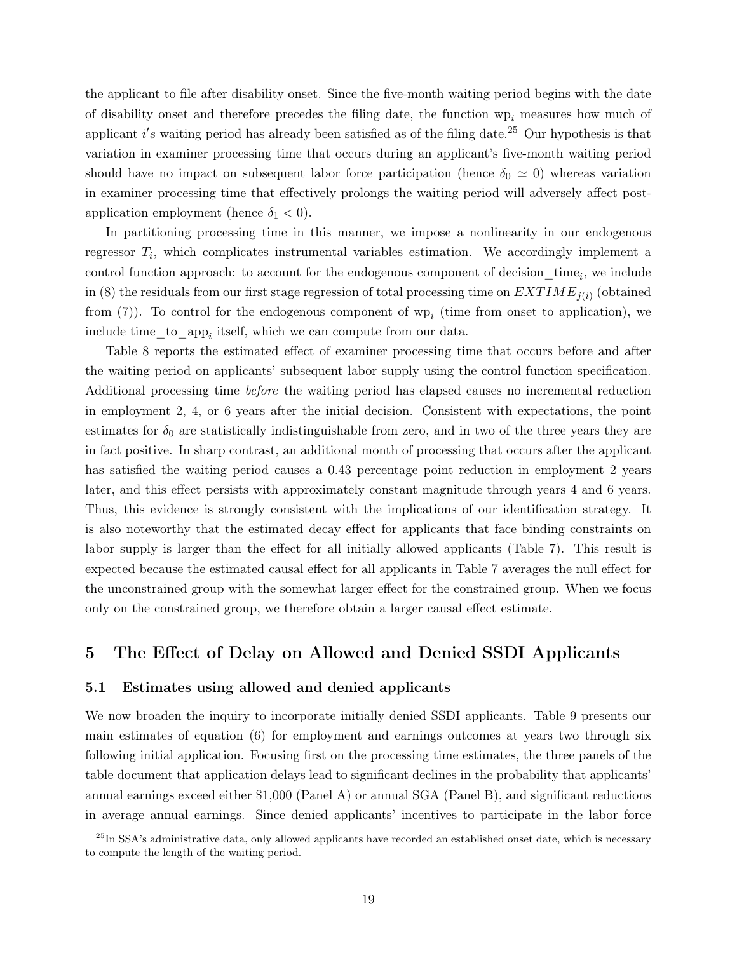the applicant to file after disability onset. Since the five-month waiting period begins with the date of disability onset and therefore precedes the filing date, the function  $wp_i$  measures how much of applicant i's waiting period has already been satisfied as of the filing date.<sup>25</sup> Our hypothesis is that variation in examiner processing time that occurs during an applicant's five-month waiting period should have no impact on subsequent labor force participation (hence  $\delta_0 \simeq 0$ ) whereas variation in examiner processing time that effectively prolongs the waiting period will adversely affect postapplication employment (hence  $\delta_1 < 0$ ).

In partitioning processing time in this manner, we impose a nonlinearity in our endogenous regressor  $T_i$ , which complicates instrumental variables estimation. We accordingly implement a control function approach: to account for the endogenous component of decision\_time<sub>i</sub>, we include in (8) the residuals from our first stage regression of total processing time on  $EXTIME_{j(i)}$  (obtained from  $(7)$ ). To control for the endogenous component of  $wp_i$  (time from onset to application), we include time\_to\_app<sub>i</sub> itself, which we can compute from our data.

Table 8 reports the estimated effect of examiner processing time that occurs before and after the waiting period on applicants' subsequent labor supply using the control function specification. Additional processing time before the waiting period has elapsed causes no incremental reduction in employment 2, 4, or 6 years after the initial decision. Consistent with expectations, the point estimates for  $\delta_0$  are statistically indistinguishable from zero, and in two of the three years they are in fact positive. In sharp contrast, an additional month of processing that occurs after the applicant has satisfied the waiting period causes a 0.43 percentage point reduction in employment 2 years later, and this effect persists with approximately constant magnitude through years 4 and 6 years. Thus, this evidence is strongly consistent with the implications of our identification strategy. It is also noteworthy that the estimated decay effect for applicants that face binding constraints on labor supply is larger than the effect for all initially allowed applicants (Table 7). This result is expected because the estimated causal effect for all applicants in Table 7 averages the null effect for the unconstrained group with the somewhat larger effect for the constrained group. When we focus only on the constrained group, we therefore obtain a larger causal effect estimate.

## 5 The Effect of Delay on Allowed and Denied SSDI Applicants

#### 5.1 Estimates using allowed and denied applicants

We now broaden the inquiry to incorporate initially denied SSDI applicants. Table 9 presents our main estimates of equation (6) for employment and earnings outcomes at years two through six following initial application. Focusing first on the processing time estimates, the three panels of the table document that application delays lead to significant declines in the probability that applicants' annual earnings exceed either \$1,000 (Panel A) or annual SGA (Panel B), and significant reductions in average annual earnings. Since denied applicants' incentives to participate in the labor force

<sup>&</sup>lt;sup>25</sup>In SSA's administrative data, only allowed applicants have recorded an established onset date, which is necessary to compute the length of the waiting period.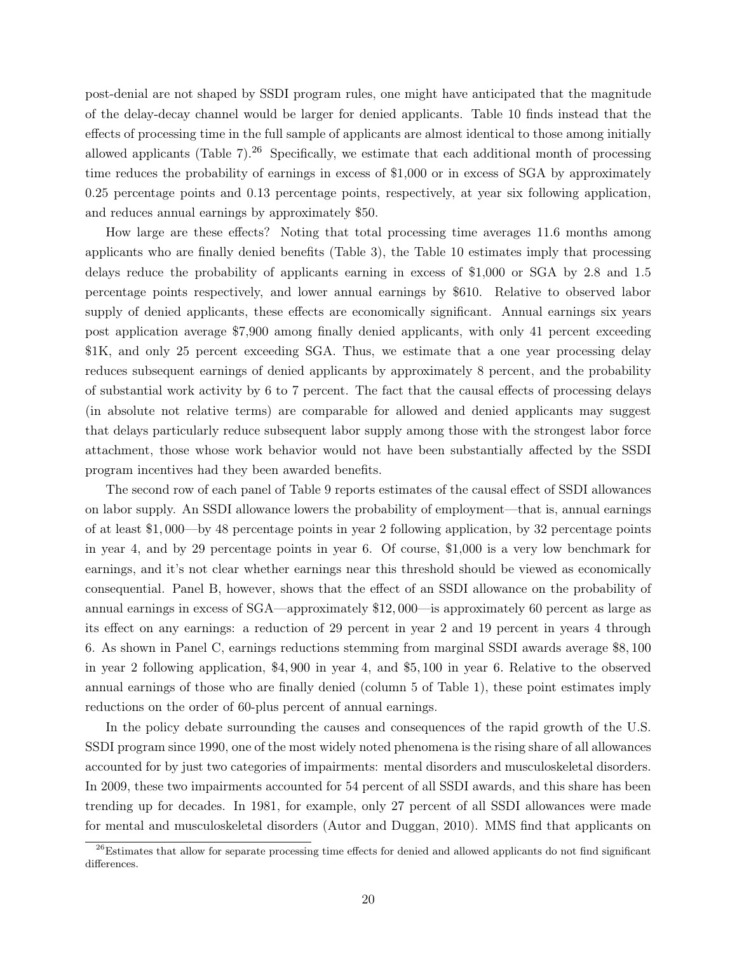post-denial are not shaped by SSDI program rules, one might have anticipated that the magnitude of the delay-decay channel would be larger for denied applicants. Table 10 finds instead that the effects of processing time in the full sample of applicants are almost identical to those among initially allowed applicants (Table 7).<sup>26</sup> Specifically, we estimate that each additional month of processing time reduces the probability of earnings in excess of \$1,000 or in excess of SGA by approximately 0.25 percentage points and 0.13 percentage points, respectively, at year six following application, and reduces annual earnings by approximately \$50.

How large are these effects? Noting that total processing time averages 11.6 months among applicants who are finally denied benefits (Table 3), the Table 10 estimates imply that processing delays reduce the probability of applicants earning in excess of \$1,000 or SGA by 2.8 and 1.5 percentage points respectively, and lower annual earnings by \$610. Relative to observed labor supply of denied applicants, these effects are economically significant. Annual earnings six years post application average \$7,900 among finally denied applicants, with only 41 percent exceeding \$1K, and only 25 percent exceeding SGA. Thus, we estimate that a one year processing delay reduces subsequent earnings of denied applicants by approximately 8 percent, and the probability of substantial work activity by 6 to 7 percent. The fact that the causal effects of processing delays (in absolute not relative terms) are comparable for allowed and denied applicants may suggest that delays particularly reduce subsequent labor supply among those with the strongest labor force attachment, those whose work behavior would not have been substantially affected by the SSDI program incentives had they been awarded benefits.

The second row of each panel of Table 9 reports estimates of the causal effect of SSDI allowances on labor supply. An SSDI allowance lowers the probability of employment—that is, annual earnings of at least \$1, 000—by 48 percentage points in year 2 following application, by 32 percentage points in year 4, and by 29 percentage points in year 6. Of course, \$1,000 is a very low benchmark for earnings, and it's not clear whether earnings near this threshold should be viewed as economically consequential. Panel B, however, shows that the effect of an SSDI allowance on the probability of annual earnings in excess of SGA—approximately \$12, 000—is approximately 60 percent as large as its effect on any earnings: a reduction of 29 percent in year 2 and 19 percent in years 4 through 6. As shown in Panel C, earnings reductions stemming from marginal SSDI awards average \$8, 100 in year 2 following application, \$4, 900 in year 4, and \$5, 100 in year 6. Relative to the observed annual earnings of those who are finally denied (column 5 of Table 1), these point estimates imply reductions on the order of 60-plus percent of annual earnings.

In the policy debate surrounding the causes and consequences of the rapid growth of the U.S. SSDI program since 1990, one of the most widely noted phenomena is the rising share of all allowances accounted for by just two categories of impairments: mental disorders and musculoskeletal disorders. In 2009, these two impairments accounted for 54 percent of all SSDI awards, and this share has been trending up for decades. In 1981, for example, only 27 percent of all SSDI allowances were made for mental and musculoskeletal disorders (Autor and Duggan, 2010). MMS find that applicants on

 $26$ Estimates that allow for separate processing time effects for denied and allowed applicants do not find significant differences.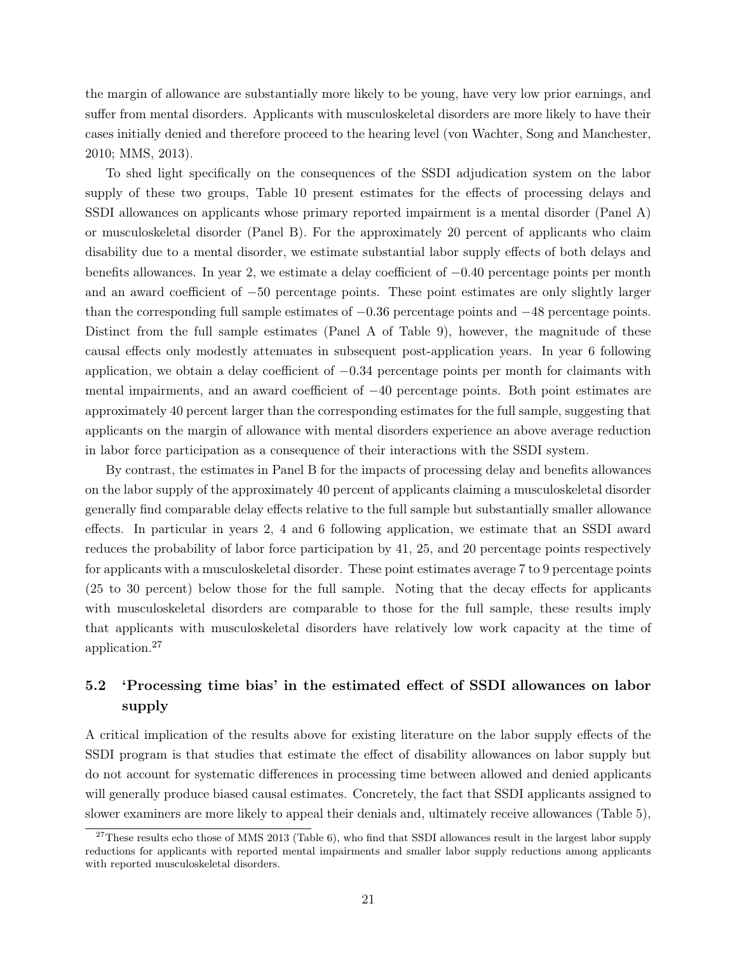the margin of allowance are substantially more likely to be young, have very low prior earnings, and suffer from mental disorders. Applicants with musculoskeletal disorders are more likely to have their cases initially denied and therefore proceed to the hearing level (von Wachter, Song and Manchester, 2010; MMS, 2013).

To shed light specifically on the consequences of the SSDI adjudication system on the labor supply of these two groups, Table 10 present estimates for the effects of processing delays and SSDI allowances on applicants whose primary reported impairment is a mental disorder (Panel A) or musculoskeletal disorder (Panel B). For the approximately 20 percent of applicants who claim disability due to a mental disorder, we estimate substantial labor supply effects of both delays and benefits allowances. In year 2, we estimate a delay coefficient of −0.40 percentage points per month and an award coefficient of −50 percentage points. These point estimates are only slightly larger than the corresponding full sample estimates of −0.36 percentage points and −48 percentage points. Distinct from the full sample estimates (Panel A of Table 9), however, the magnitude of these causal effects only modestly attenuates in subsequent post-application years. In year 6 following application, we obtain a delay coefficient of −0.34 percentage points per month for claimants with mental impairments, and an award coefficient of −40 percentage points. Both point estimates are approximately 40 percent larger than the corresponding estimates for the full sample, suggesting that applicants on the margin of allowance with mental disorders experience an above average reduction in labor force participation as a consequence of their interactions with the SSDI system.

By contrast, the estimates in Panel B for the impacts of processing delay and benefits allowances on the labor supply of the approximately 40 percent of applicants claiming a musculoskeletal disorder generally find comparable delay effects relative to the full sample but substantially smaller allowance effects. In particular in years 2, 4 and 6 following application, we estimate that an SSDI award reduces the probability of labor force participation by 41, 25, and 20 percentage points respectively for applicants with a musculoskeletal disorder. These point estimates average 7 to 9 percentage points (25 to 30 percent) below those for the full sample. Noting that the decay effects for applicants with musculoskeletal disorders are comparable to those for the full sample, these results imply that applicants with musculoskeletal disorders have relatively low work capacity at the time of application.<sup>27</sup>

## 5.2 'Processing time bias' in the estimated effect of SSDI allowances on labor supply

A critical implication of the results above for existing literature on the labor supply effects of the SSDI program is that studies that estimate the effect of disability allowances on labor supply but do not account for systematic differences in processing time between allowed and denied applicants will generally produce biased causal estimates. Concretely, the fact that SSDI applicants assigned to slower examiners are more likely to appeal their denials and, ultimately receive allowances (Table 5),

<sup>&</sup>lt;sup>27</sup>These results echo those of MMS 2013 (Table 6), who find that SSDI allowances result in the largest labor supply reductions for applicants with reported mental impairments and smaller labor supply reductions among applicants with reported musculoskeletal disorders.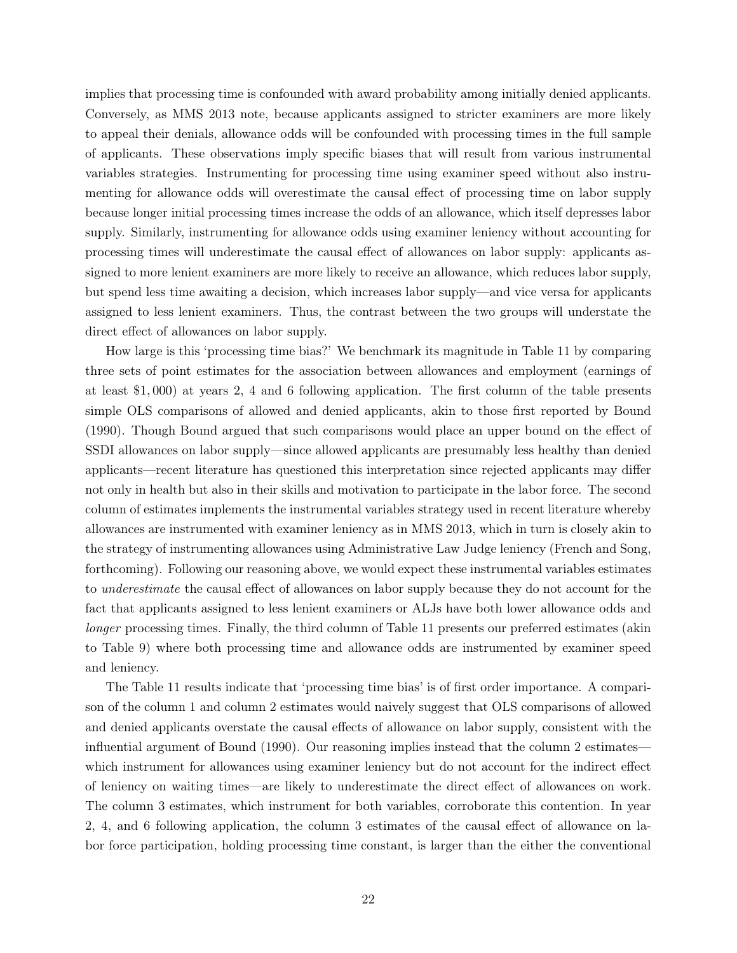implies that processing time is confounded with award probability among initially denied applicants. Conversely, as MMS 2013 note, because applicants assigned to stricter examiners are more likely to appeal their denials, allowance odds will be confounded with processing times in the full sample of applicants. These observations imply specific biases that will result from various instrumental variables strategies. Instrumenting for processing time using examiner speed without also instrumenting for allowance odds will overestimate the causal effect of processing time on labor supply because longer initial processing times increase the odds of an allowance, which itself depresses labor supply. Similarly, instrumenting for allowance odds using examiner leniency without accounting for processing times will underestimate the causal effect of allowances on labor supply: applicants assigned to more lenient examiners are more likely to receive an allowance, which reduces labor supply, but spend less time awaiting a decision, which increases labor supply—and vice versa for applicants assigned to less lenient examiners. Thus, the contrast between the two groups will understate the direct effect of allowances on labor supply.

How large is this 'processing time bias?' We benchmark its magnitude in Table 11 by comparing three sets of point estimates for the association between allowances and employment (earnings of at least \$1, 000) at years 2, 4 and 6 following application. The first column of the table presents simple OLS comparisons of allowed and denied applicants, akin to those first reported by Bound (1990). Though Bound argued that such comparisons would place an upper bound on the effect of SSDI allowances on labor supply—since allowed applicants are presumably less healthy than denied applicants—recent literature has questioned this interpretation since rejected applicants may differ not only in health but also in their skills and motivation to participate in the labor force. The second column of estimates implements the instrumental variables strategy used in recent literature whereby allowances are instrumented with examiner leniency as in MMS 2013, which in turn is closely akin to the strategy of instrumenting allowances using Administrative Law Judge leniency (French and Song, forthcoming). Following our reasoning above, we would expect these instrumental variables estimates to *underestimate* the causal effect of allowances on labor supply because they do not account for the fact that applicants assigned to less lenient examiners or ALJs have both lower allowance odds and longer processing times. Finally, the third column of Table 11 presents our preferred estimates (akin to Table 9) where both processing time and allowance odds are instrumented by examiner speed and leniency.

The Table 11 results indicate that 'processing time bias' is of first order importance. A comparison of the column 1 and column 2 estimates would naively suggest that OLS comparisons of allowed and denied applicants overstate the causal effects of allowance on labor supply, consistent with the influential argument of Bound (1990). Our reasoning implies instead that the column 2 estimates which instrument for allowances using examiner leniency but do not account for the indirect effect of leniency on waiting times—are likely to underestimate the direct effect of allowances on work. The column 3 estimates, which instrument for both variables, corroborate this contention. In year 2, 4, and 6 following application, the column 3 estimates of the causal effect of allowance on labor force participation, holding processing time constant, is larger than the either the conventional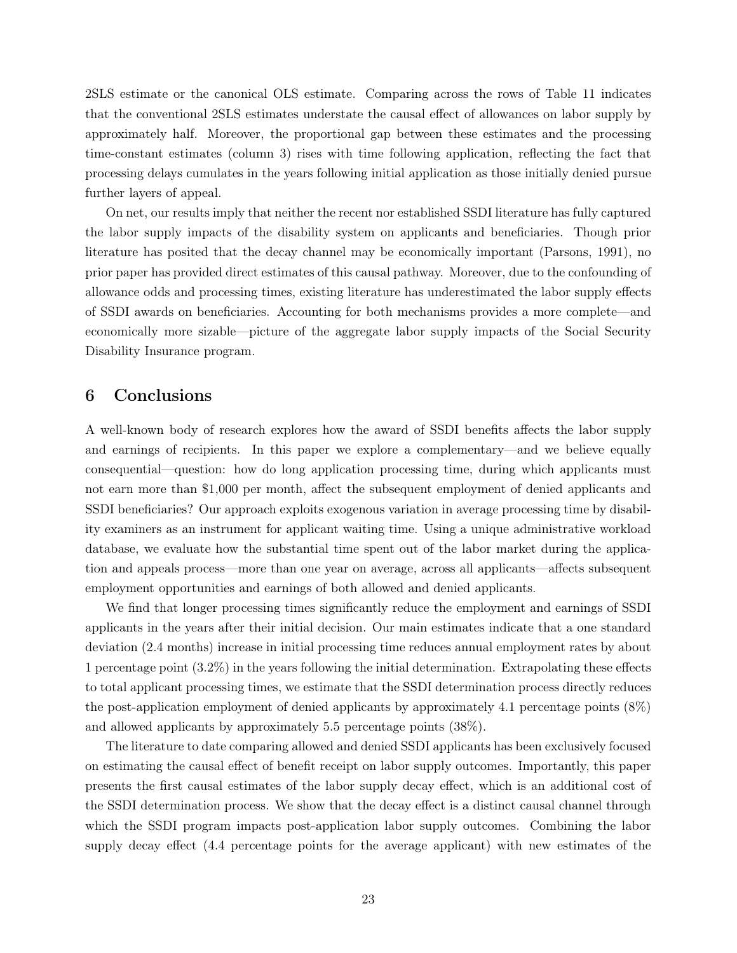2SLS estimate or the canonical OLS estimate. Comparing across the rows of Table 11 indicates that the conventional 2SLS estimates understate the causal effect of allowances on labor supply by approximately half. Moreover, the proportional gap between these estimates and the processing time-constant estimates (column 3) rises with time following application, reflecting the fact that processing delays cumulates in the years following initial application as those initially denied pursue further layers of appeal.

On net, our results imply that neither the recent nor established SSDI literature has fully captured the labor supply impacts of the disability system on applicants and beneficiaries. Though prior literature has posited that the decay channel may be economically important (Parsons, 1991), no prior paper has provided direct estimates of this causal pathway. Moreover, due to the confounding of allowance odds and processing times, existing literature has underestimated the labor supply effects of SSDI awards on beneficiaries. Accounting for both mechanisms provides a more complete—and economically more sizable—picture of the aggregate labor supply impacts of the Social Security Disability Insurance program.

## 6 Conclusions

A well-known body of research explores how the award of SSDI benefits affects the labor supply and earnings of recipients. In this paper we explore a complementary—and we believe equally consequential—question: how do long application processing time, during which applicants must not earn more than \$1,000 per month, affect the subsequent employment of denied applicants and SSDI beneficiaries? Our approach exploits exogenous variation in average processing time by disability examiners as an instrument for applicant waiting time. Using a unique administrative workload database, we evaluate how the substantial time spent out of the labor market during the application and appeals process—more than one year on average, across all applicants—affects subsequent employment opportunities and earnings of both allowed and denied applicants.

We find that longer processing times significantly reduce the employment and earnings of SSDI applicants in the years after their initial decision. Our main estimates indicate that a one standard deviation (2.4 months) increase in initial processing time reduces annual employment rates by about 1 percentage point (3.2%) in the years following the initial determination. Extrapolating these effects to total applicant processing times, we estimate that the SSDI determination process directly reduces the post-application employment of denied applicants by approximately 4.1 percentage points (8%) and allowed applicants by approximately 5.5 percentage points (38%).

The literature to date comparing allowed and denied SSDI applicants has been exclusively focused on estimating the causal effect of benefit receipt on labor supply outcomes. Importantly, this paper presents the first causal estimates of the labor supply decay effect, which is an additional cost of the SSDI determination process. We show that the decay effect is a distinct causal channel through which the SSDI program impacts post-application labor supply outcomes. Combining the labor supply decay effect (4.4 percentage points for the average applicant) with new estimates of the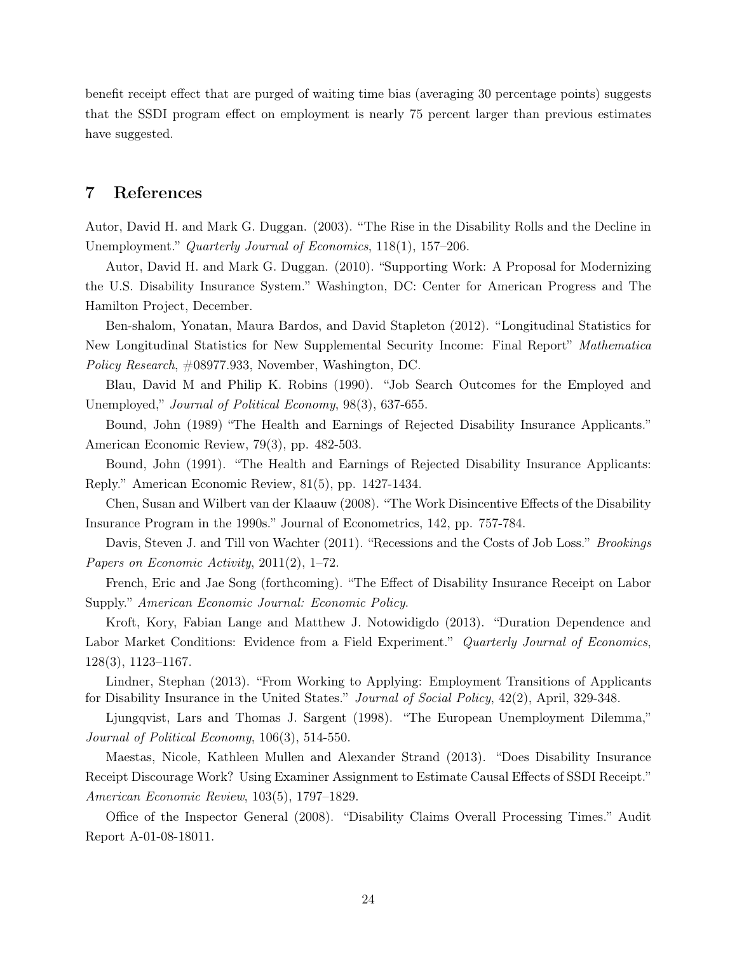benefit receipt effect that are purged of waiting time bias (averaging 30 percentage points) suggests that the SSDI program effect on employment is nearly 75 percent larger than previous estimates have suggested.

#### 7 References

Autor, David H. and Mark G. Duggan. (2003). "The Rise in the Disability Rolls and the Decline in Unemployment." Quarterly Journal of Economics, 118(1), 157–206.

Autor, David H. and Mark G. Duggan. (2010). "Supporting Work: A Proposal for Modernizing the U.S. Disability Insurance System." Washington, DC: Center for American Progress and The Hamilton Project, December.

Ben-shalom, Yonatan, Maura Bardos, and David Stapleton (2012). "Longitudinal Statistics for New Longitudinal Statistics for New Supplemental Security Income: Final Report" Mathematica Policy Research, #08977.933, November, Washington, DC.

Blau, David M and Philip K. Robins (1990). "Job Search Outcomes for the Employed and Unemployed," Journal of Political Economy, 98(3), 637-655.

Bound, John (1989) "The Health and Earnings of Rejected Disability Insurance Applicants." American Economic Review, 79(3), pp. 482-503.

Bound, John (1991). "The Health and Earnings of Rejected Disability Insurance Applicants: Reply." American Economic Review, 81(5), pp. 1427-1434.

Chen, Susan and Wilbert van der Klaauw (2008). "The Work Disincentive Effects of the Disability Insurance Program in the 1990s." Journal of Econometrics, 142, pp. 757-784.

Davis, Steven J. and Till von Wachter (2011). "Recessions and the Costs of Job Loss." *Brookings* Papers on Economic Activity, 2011(2), 1–72.

French, Eric and Jae Song (forthcoming). "The Effect of Disability Insurance Receipt on Labor Supply." American Economic Journal: Economic Policy.

Kroft, Kory, Fabian Lange and Matthew J. Notowidigdo (2013). "Duration Dependence and Labor Market Conditions: Evidence from a Field Experiment." Quarterly Journal of Economics, 128(3), 1123–1167.

Lindner, Stephan (2013). "From Working to Applying: Employment Transitions of Applicants for Disability Insurance in the United States." Journal of Social Policy, 42(2), April, 329-348.

Ljungqvist, Lars and Thomas J. Sargent (1998). "The European Unemployment Dilemma," Journal of Political Economy, 106(3), 514-550.

Maestas, Nicole, Kathleen Mullen and Alexander Strand (2013). "Does Disability Insurance Receipt Discourage Work? Using Examiner Assignment to Estimate Causal Effects of SSDI Receipt." American Economic Review, 103(5), 1797–1829.

Office of the Inspector General (2008). "Disability Claims Overall Processing Times." Audit Report A-01-08-18011.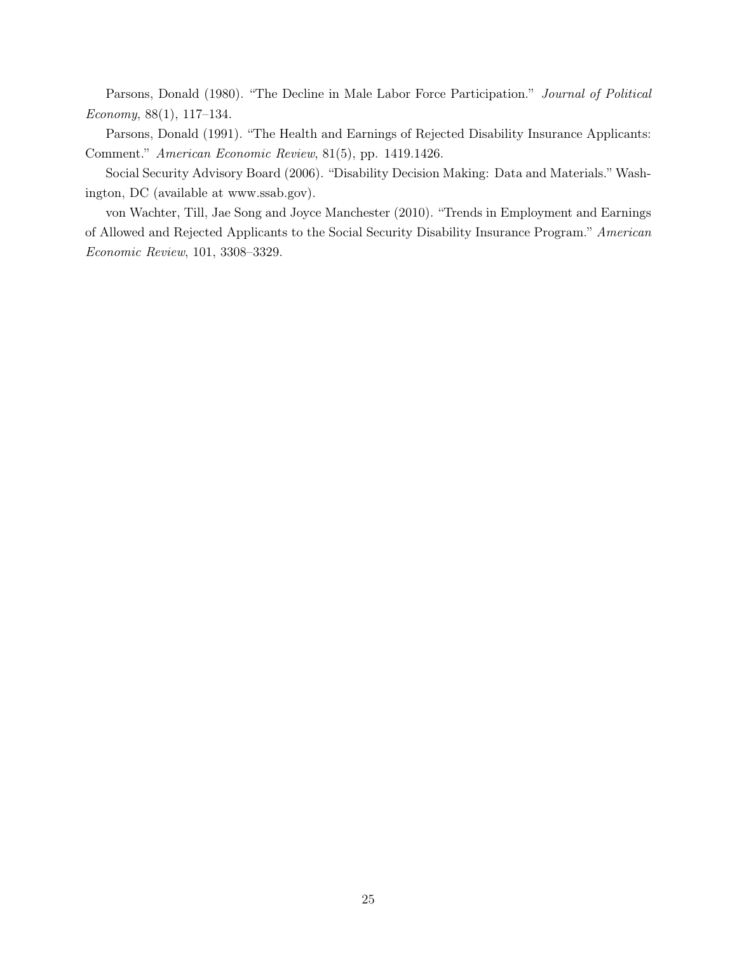Parsons, Donald (1980). "The Decline in Male Labor Force Participation." Journal of Political Economy, 88(1), 117–134.

Parsons, Donald (1991). "The Health and Earnings of Rejected Disability Insurance Applicants: Comment." American Economic Review, 81(5), pp. 1419.1426.

Social Security Advisory Board (2006). "Disability Decision Making: Data and Materials." Washington, DC (available at www.ssab.gov).

von Wachter, Till, Jae Song and Joyce Manchester (2010). "Trends in Employment and Earnings of Allowed and Rejected Applicants to the Social Security Disability Insurance Program." American Economic Review, 101, 3308–3329.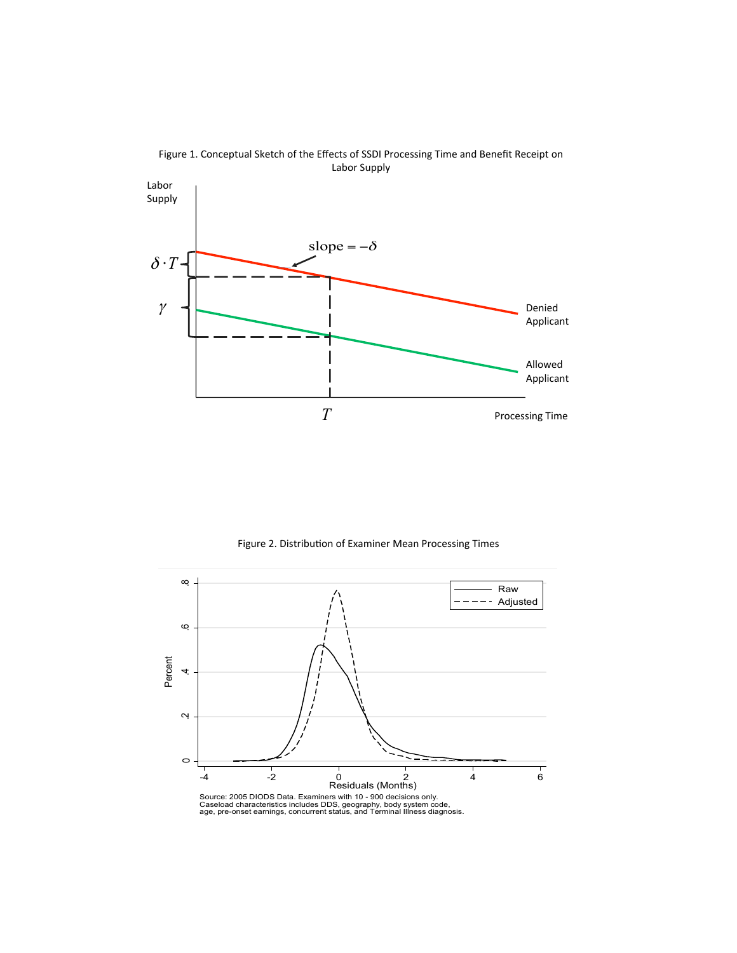

Figure 1. Conceptual Sketch of the Effects of SSDI Processing Time and Benefit Receipt on Labor Supply

Figure 2. Distribution of Examiner Mean Processing Times

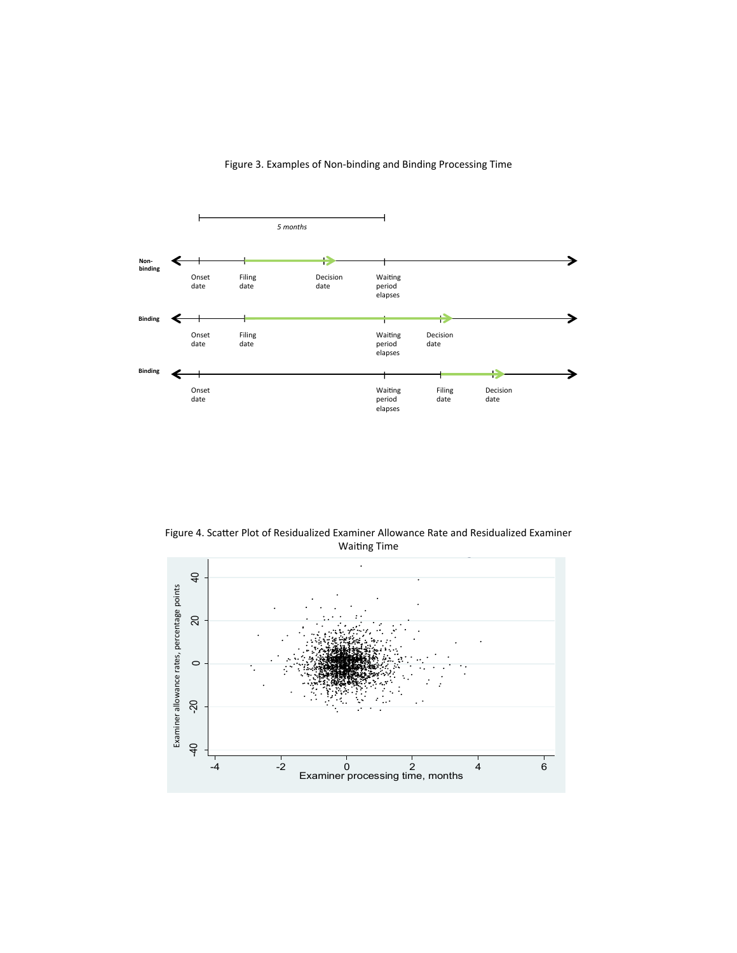Figure 3. Examples of Non-binding and Binding Processing Time



Figure 4. Scatter Plot of Residualized Examiner Allowance Rate and Residualized Examiner Waiting Time

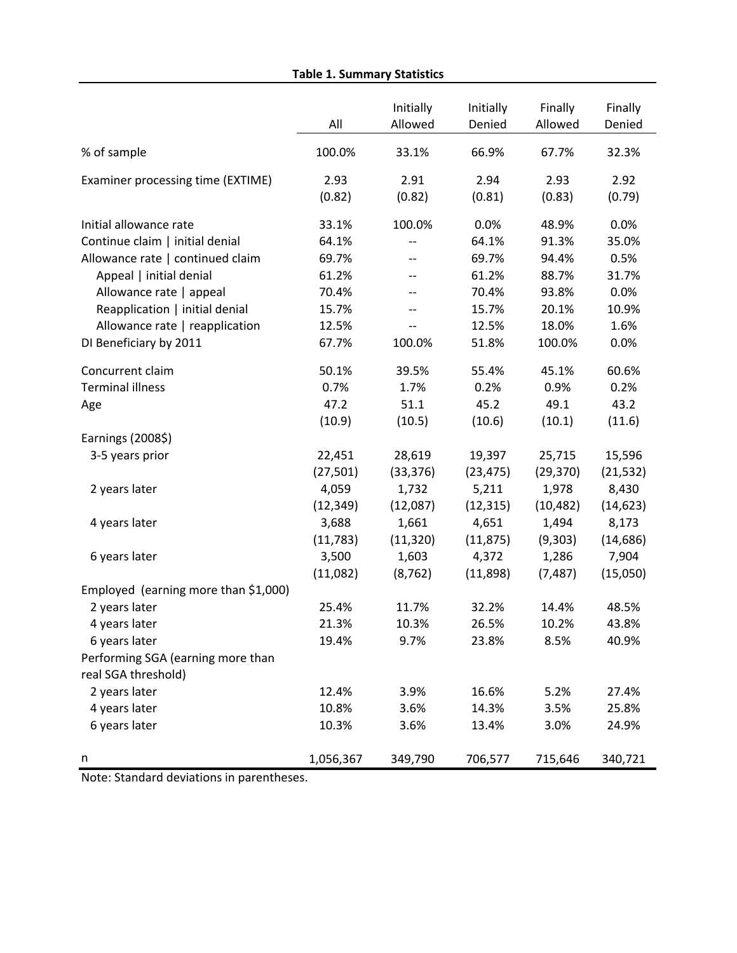|  |  | Table 1. Summary Statistics |  |
|--|--|-----------------------------|--|
|--|--|-----------------------------|--|

|                                      | All            | Initially<br>Allowed | Initially<br>Denied | Finally<br>Allowed | Finally<br>Denied |
|--------------------------------------|----------------|----------------------|---------------------|--------------------|-------------------|
| % of sample                          | 100.0%         | 33.1%                | 66.9%               | 67.7%              | 32.3%             |
| Examiner processing time (EXTIME)    | 2.93<br>(0.82) | 2.91<br>(0.82)       | 2.94<br>(0.81)      | 2.93<br>(0.83)     | 2.92<br>(0.79)    |
| Initial allowance rate               | 33.1%          | 100.0%               | 0.0%                | 48.9%              | 0.0%              |
| Continue claim   initial denial      | 64.1%          | --                   | 64.1%               | 91.3%              | 35.0%             |
| Allowance rate   continued claim     | 69.7%          | $-$                  | 69.7%               | 94.4%              | 0.5%              |
| Appeal   initial denial              | 61.2%          | $-$                  | 61.2%               | 88.7%              | 31.7%             |
| Allowance rate   appeal              | 70.4%          | --                   | 70.4%               | 93.8%              | 0.0%              |
| Reapplication   initial denial       | 15.7%          | --                   | 15.7%               | 20.1%              | 10.9%             |
| Allowance rate   reapplication       | 12.5%          | --                   | 12.5%               | 18.0%              | 1.6%              |
| DI Beneficiary by 2011               | 67.7%          | 100.0%               | 51.8%               | 100.0%             | 0.0%              |
| Concurrent claim                     | 50.1%          | 39.5%                | 55.4%               | 45.1%              | 60.6%             |
| <b>Terminal illness</b>              | 0.7%           | 1.7%                 | 0.2%                | 0.9%               | 0.2%              |
| Age                                  | 47.2           | 51.1                 | 45.2                | 49.1               | 43.2              |
|                                      | (10.9)         | (10.5)               | (10.6)              | (10.1)             | (11.6)            |
| Earnings (2008\$)                    |                |                      |                     |                    |                   |
| 3-5 years prior                      | 22,451         | 28,619               | 19,397              | 25,715             | 15,596            |
|                                      | (27, 501)      | (33, 376)            | (23, 475)           | (29, 370)          | (21, 532)         |
| 2 years later                        | 4,059          | 1,732                | 5,211               | 1,978              | 8,430             |
|                                      | (12, 349)      | (12,087)             | (12, 315)           | (10, 482)          | (14, 623)         |
| 4 years later                        | 3,688          | 1,661                | 4,651               | 1,494              | 8,173             |
|                                      | (11, 783)      | (11, 320)            | (11, 875)           | (9,303)            | (14, 686)         |
| 6 years later                        | 3,500          | 1,603                | 4,372               | 1,286              | 7,904             |
|                                      | (11,082)       | (8, 762)             | (11,898)            | (7, 487)           | (15,050)          |
| Employed (earning more than \$1,000) |                |                      |                     |                    |                   |
| 2 years later                        | 25.4%          | 11.7%                | 32.2%               | 14.4%              | 48.5%             |
| 4 years later                        | 21.3%          | 10.3%                | 26.5%               | 10.2%              | 43.8%             |
| 6 years later                        | 19.4%          | 9.7%                 | 23.8%               | 8.5%               | 40.9%             |
| Performing SGA (earning more than    |                |                      |                     |                    |                   |
| real SGA threshold)                  |                |                      |                     |                    |                   |
| 2 years later                        | 12.4%          | 3.9%                 | 16.6%               | 5.2%               | 27.4%             |
| 4 years later                        | 10.8%          | 3.6%                 | 14.3%               | 3.5%               | 25.8%             |
| 6 years later                        | 10.3%          | 3.6%                 | 13.4%               | 3.0%               | 24.9%             |
| n                                    | 1,056,367      | 349,790              | 706,577             | 715,646            | 340,721           |

Note: Standard deviations in parentheses.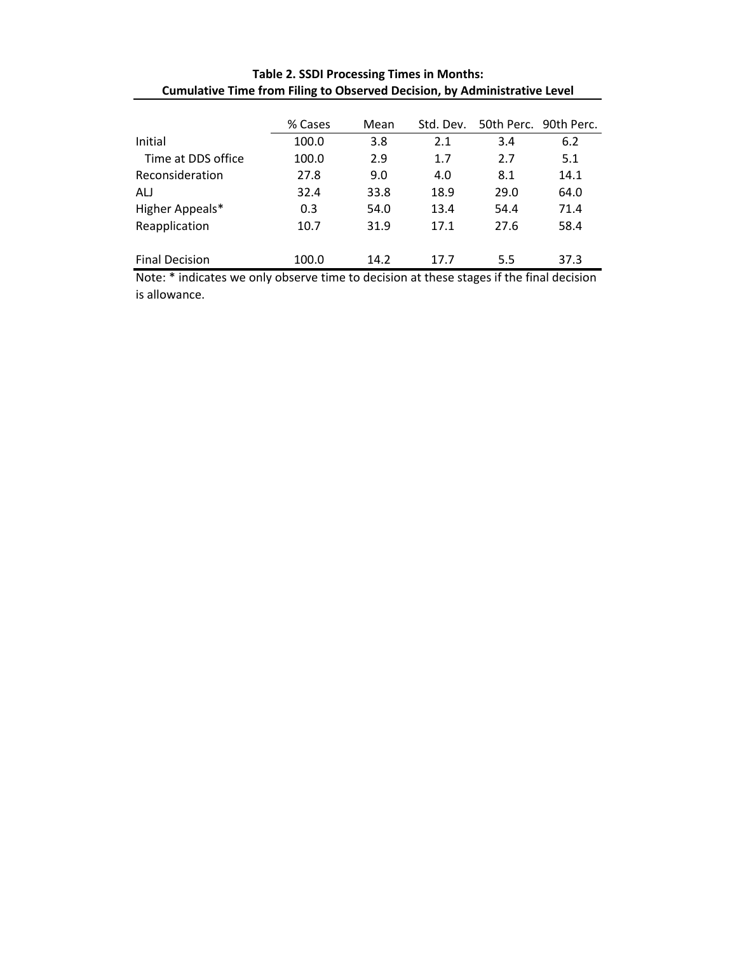|                       | % Cases | Mean | Std. Dev. | 50th Perc. 90th Perc. |      |
|-----------------------|---------|------|-----------|-----------------------|------|
| Initial               | 100.0   | 3.8  | 2.1       | 3.4                   | 6.2  |
| Time at DDS office    | 100.0   | 2.9  | 1.7       | 2.7                   | 5.1  |
| Reconsideration       | 27.8    | 9.0  | 4.0       | 8.1                   | 14.1 |
| ALJ                   | 32.4    | 33.8 | 18.9      | 29.0                  | 64.0 |
| Higher Appeals*       | 0.3     | 54.0 | 13.4      | 54.4                  | 71.4 |
| Reapplication         | 10.7    | 31.9 | 17.1      | 27.6                  | 58.4 |
|                       |         |      |           |                       |      |
| <b>Final Decision</b> | 100.0   | 14.2 | 17.7      | 5.5                   | 37.3 |

## Table 2. SSDI Processing Times in Months: **Cumulative Time from Filing to Observed Decision, by Administrative Level**

Note: \* indicates we only observe time to decision at these stages if the final decision is allowance.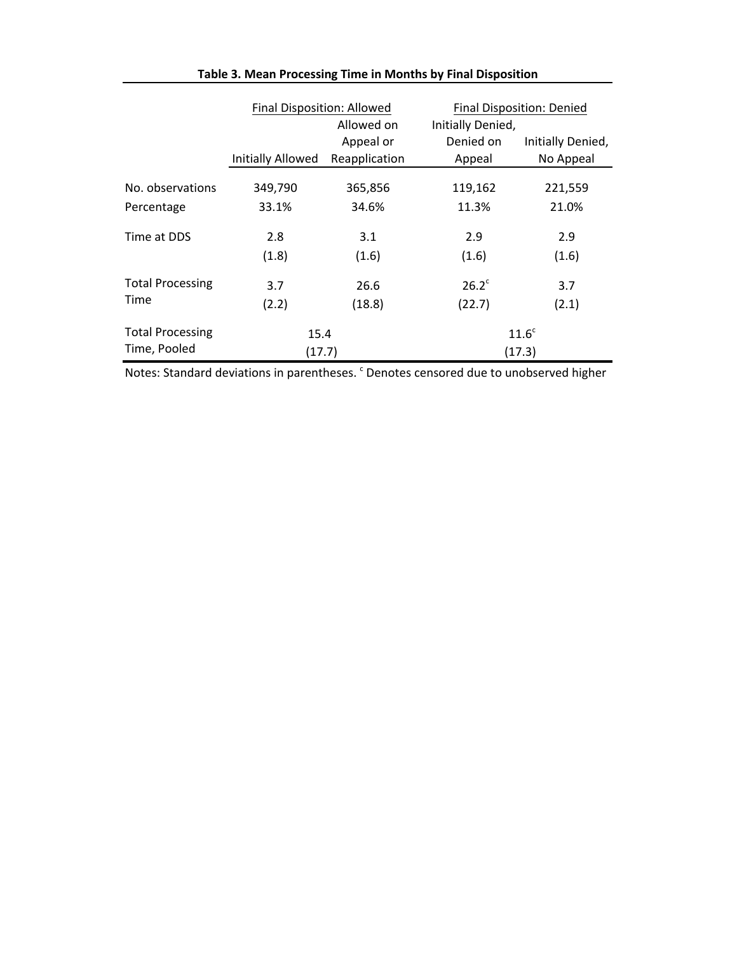|                         | Final Disposition: Allowed<br>Allowed on |                            | Initially Denied,   | <b>Final Disposition: Denied</b> |
|-------------------------|------------------------------------------|----------------------------|---------------------|----------------------------------|
|                         | Initially Allowed                        | Appeal or<br>Reapplication | Denied on<br>Appeal | Initially Denied,<br>No Appeal   |
|                         |                                          |                            |                     |                                  |
| No. observations        | 349,790                                  | 365,856                    | 119,162             | 221,559                          |
| Percentage              | 33.1%                                    | 34.6%                      | 11.3%               | 21.0%                            |
| Time at DDS             | 2.8                                      | 3.1                        | 2.9                 | 2.9                              |
|                         | (1.8)                                    | (1.6)                      | (1.6)               | (1.6)                            |
| <b>Total Processing</b> | 3.7                                      | 26.6                       | $26.2^{\circ}$      | 3.7                              |
| Time                    | (2.2)                                    | (18.8)                     | (22.7)              | (2.1)                            |
| <b>Total Processing</b> | 15.4                                     |                            |                     | 11.6 <sup>c</sup>                |
| Time, Pooled            | (17.7)                                   |                            |                     | (17.3)                           |

#### Table 3. Mean Processing Time in Months by Final Disposition

Notes: Standard deviations in parentheses. <sup>c</sup> Denotes censored due to unobserved higher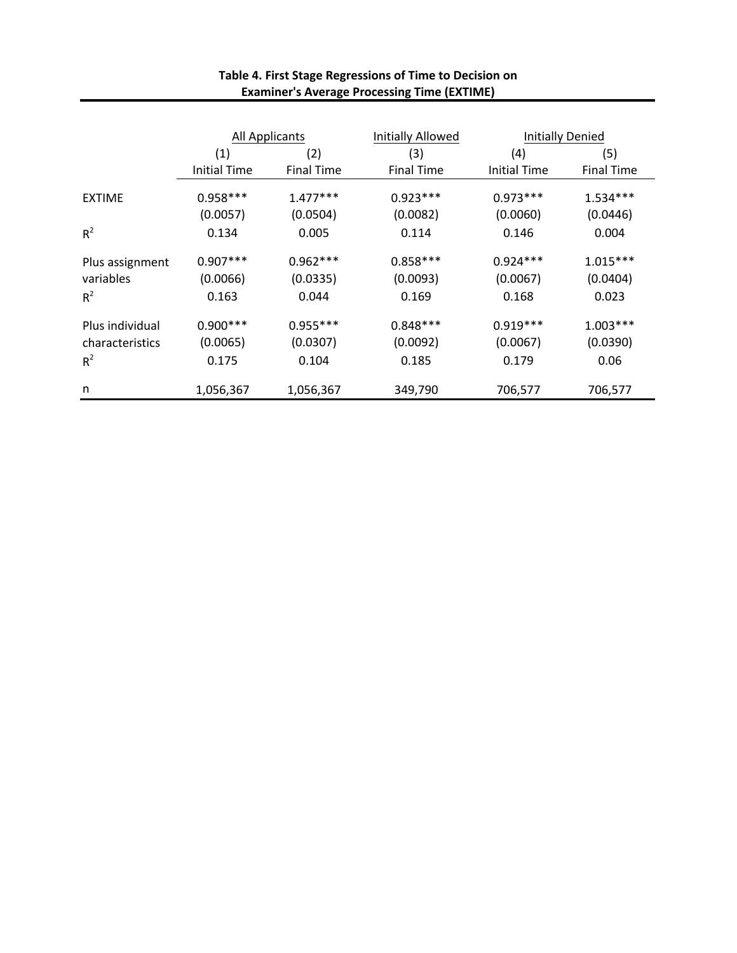|                 | <b>All Applicants</b> |                   | Initially Allowed | <b>Initially Denied</b> |                   |
|-----------------|-----------------------|-------------------|-------------------|-------------------------|-------------------|
|                 | (1)                   | (2)               | (3)               | (4)                     | (5)               |
|                 | <b>Initial Time</b>   | <b>Final Time</b> | <b>Final Time</b> | <b>Initial Time</b>     | <b>Final Time</b> |
| <b>EXTIME</b>   | $0.958***$            | $1.477***$        | $0.923***$        | $0.973***$              | $1.534***$        |
|                 | (0.0057)              | (0.0504)          | (0.0082)          | (0.0060)                | (0.0446)          |
| $R^2$           | 0.134                 | 0.005             | 0.114             | 0.146                   | 0.004             |
| Plus assignment | $0.907***$            | $0.962***$        | $0.858***$        | $0.924***$              | $1.015***$        |
| variables       | (0.0066)              | (0.0335)          | (0.0093)          | (0.0067)                | (0.0404)          |
| $R^2$           | 0.163                 | 0.044             | 0.169             | 0.168                   | 0.023             |
| Plus individual | $0.900***$            | $0.955***$        | $0.848***$        | $0.919***$              | $1.003***$        |
| characteristics | (0.0065)              | (0.0307)          | (0.0092)          | (0.0067)                | (0.0390)          |
| $R^2$           | 0.175                 | 0.104             | 0.185             | 0.179                   | 0.06              |
| n               | 1,056,367             | 1,056,367         | 349,790           | 706,577                 | 706,577           |

## Table 4. First Stage Regressions of Time to Decision on **Examiner's Average Processing Time (EXTIME)**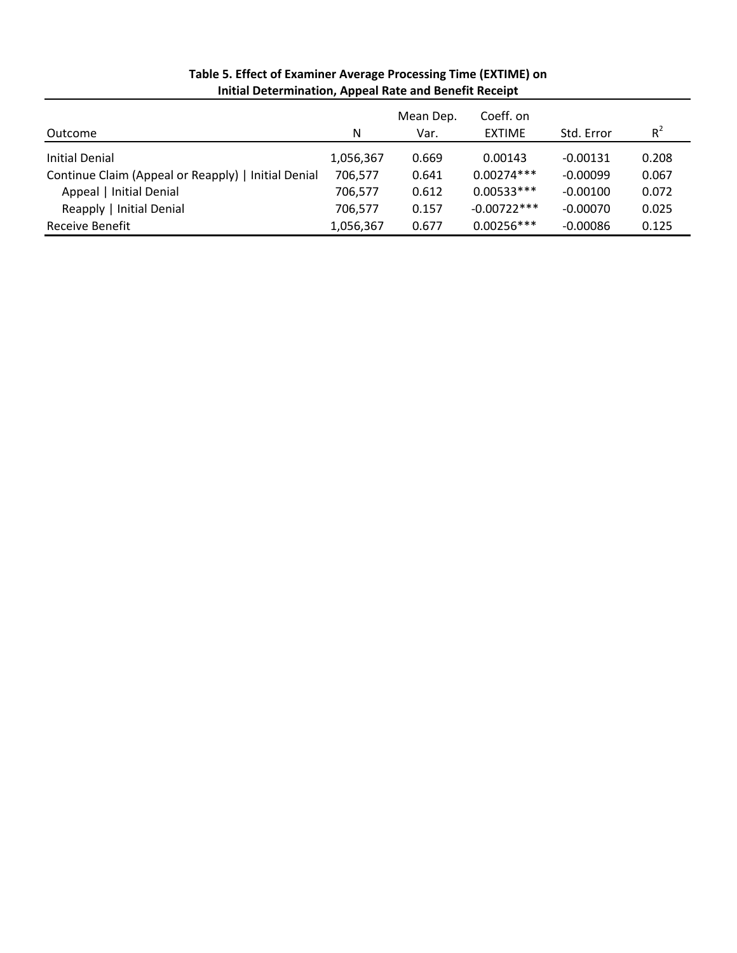| Outcome                                             | N         | Mean Dep.<br>Var. | Coeff. on<br><b>FXTIME</b> | Std. Error | $R^2$ |
|-----------------------------------------------------|-----------|-------------------|----------------------------|------------|-------|
|                                                     |           |                   |                            |            |       |
| Initial Denial                                      | 1,056,367 | 0.669             | 0.00143                    | $-0.00131$ | 0.208 |
| Continue Claim (Appeal or Reapply)   Initial Denial | 706.577   | 0.641             | $0.00274***$               | $-0.00099$ | 0.067 |
| Appeal   Initial Denial                             | 706,577   | 0.612             | $0.00533***$               | $-0.00100$ | 0.072 |
| Reapply   Initial Denial                            | 706,577   | 0.157             | $-0.00722***$              | $-0.00070$ | 0.025 |
| Receive Benefit                                     | 1,056,367 | 0.677             | $0.00256***$               | $-0.00086$ | 0.125 |

#### Table 5. Effect of Examiner Average Processing Time (EXTIME) on **Initial Determination, Appeal Rate and Benefit Receipt**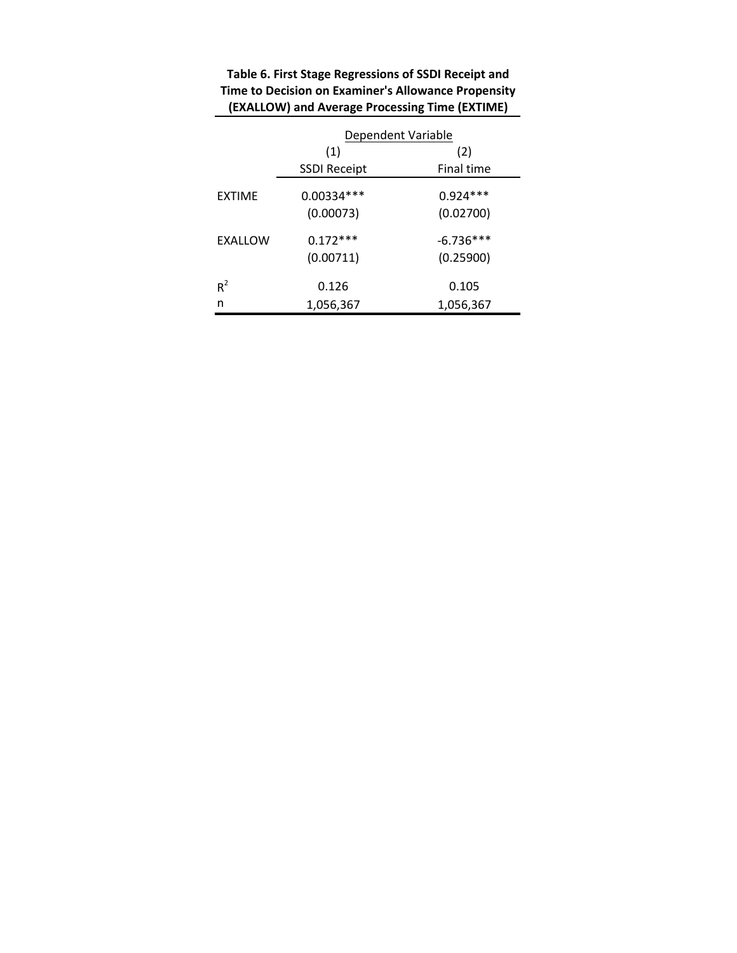|               |                     | Dependent Variable |
|---------------|---------------------|--------------------|
|               | (1)                 | (2)                |
|               | <b>SSDI Receipt</b> | <b>Final time</b>  |
| <b>EXTIME</b> | 0.00334 ***         | $0.924***$         |
|               | (0.00073)           | (0.02700)          |
| EXALLOW       | $0.172***$          | $-6.736***$        |
|               | (0.00711)           | (0.25900)          |
| $R^2$         | 0.126               | 0.105              |
| n             | 1,056,367           | 1,056,367          |

## Table 6. First Stage Regressions of SSDI Receipt and **Time to Decision on Examiner's Allowance Propensity (EXALLOW) and Average Processing Time (EXTIME)**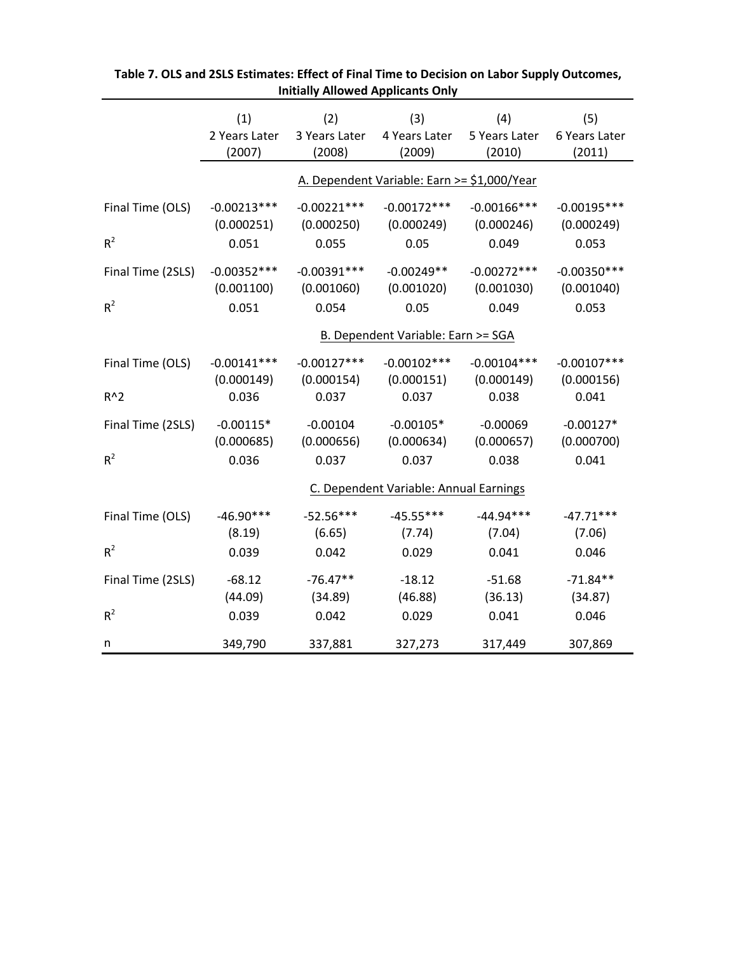|                   |                                | <b>Underly Changes of Application</b> Child |                                             |                                |                                |
|-------------------|--------------------------------|---------------------------------------------|---------------------------------------------|--------------------------------|--------------------------------|
|                   | (1)<br>2 Years Later<br>(2007) | (2)<br>3 Years Later<br>(2008)              | (3)<br>4 Years Later<br>(2009)              | (4)<br>5 Years Later<br>(2010) | (5)<br>6 Years Later<br>(2011) |
|                   |                                |                                             | A. Dependent Variable: Earn >= \$1,000/Year |                                |                                |
| Final Time (OLS)  | $-0.00213***$<br>(0.000251)    | $-0.00221***$<br>(0.000250)                 | $-0.00172***$<br>(0.000249)                 | $-0.00166$ ***<br>(0.000246)   | $-0.00195***$<br>(0.000249)    |
| $R^2$             | 0.051                          | 0.055                                       | 0.05                                        | 0.049                          | 0.053                          |
| Final Time (2SLS) | $-0.00352***$<br>(0.001100)    | $-0.00391***$<br>(0.001060)                 | $-0.00249**$<br>(0.001020)                  | $-0.00272***$<br>(0.001030)    | $-0.00350***$<br>(0.001040)    |
| $\mathsf{R}^2$    | 0.051                          | 0.054                                       | 0.05                                        | 0.049                          | 0.053                          |
|                   |                                |                                             | B. Dependent Variable: Earn >= SGA          |                                |                                |
| Final Time (OLS)  | $-0.00141***$<br>(0.000149)    | $-0.00127***$<br>(0.000154)                 | $-0.00102***$<br>(0.000151)                 | $-0.00104***$<br>(0.000149)    | $-0.00107***$<br>(0.000156)    |
| $R^2$             | 0.036                          | 0.037                                       | 0.037                                       | 0.038                          | 0.041                          |
| Final Time (2SLS) | $-0.00115*$<br>(0.000685)      | $-0.00104$<br>(0.000656)                    | $-0.00105*$<br>(0.000634)                   | $-0.00069$<br>(0.000657)       | $-0.00127*$<br>(0.000700)      |
| $R^2$             | 0.036                          | 0.037                                       | 0.037                                       | 0.038                          | 0.041                          |
|                   |                                |                                             | C. Dependent Variable: Annual Earnings      |                                |                                |
| Final Time (OLS)  | $-46.90***$<br>(8.19)          | $-52.56***$<br>(6.65)                       | $-45.55***$<br>(7.74)                       | $-44.94***$<br>(7.04)          | $-47.71***$<br>(7.06)          |
| $R^2$             | 0.039                          | 0.042                                       | 0.029                                       | 0.041                          | 0.046                          |
| Final Time (2SLS) | $-68.12$<br>(44.09)            | $-76.47**$<br>(34.89)                       | $-18.12$<br>(46.88)                         | $-51.68$<br>(36.13)            | $-71.84**$<br>(34.87)          |
| $R^2$             | 0.039                          | 0.042                                       | 0.029                                       | 0.041                          | 0.046                          |
| n                 | 349,790                        | 337,881                                     | 327,273                                     | 317,449                        | 307,869                        |

| Table 7. OLS and 2SLS Estimates: Effect of Final Time to Decision on Labor Supply Outcomes, |
|---------------------------------------------------------------------------------------------|
| <b>Initially Allowed Applicants Only</b>                                                    |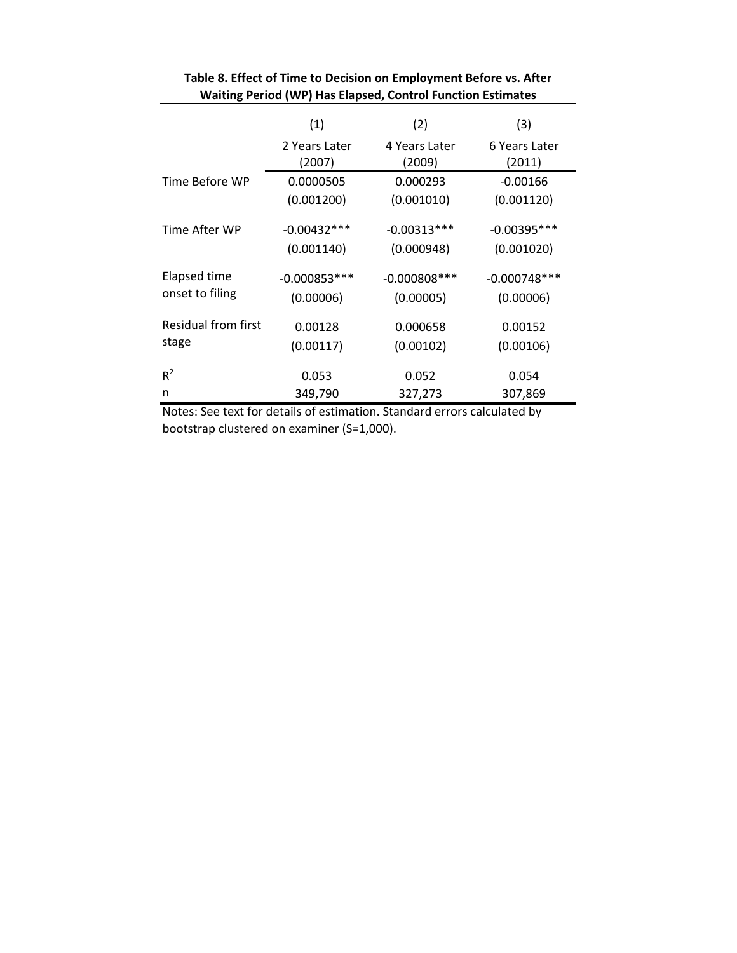|                     | (1)                     | (2)                     | (3)                     |
|---------------------|-------------------------|-------------------------|-------------------------|
|                     | 2 Years Later<br>(2007) | 4 Years Later<br>(2009) | 6 Years Later<br>(2011) |
| Time Before WP      | 0.0000505               | 0.000293                | $-0.00166$              |
|                     | (0.001200)              | (0.001010)              | (0.001120)              |
| Time After WP       | $-0.00432***$           | $-0.00313***$           | $-0.00395***$           |
|                     | (0.001140)              | (0.000948)              | (0.001020)              |
| Elapsed time        | $-0.000853***$          | $-0.000808$ ***         | $-0.000748$ ***         |
| onset to filing     | (0.00006)               | (0.00005)               | (0.00006)               |
| Residual from first | 0.00128                 | 0.000658                | 0.00152                 |
| stage               | (0.00117)               | (0.00102)               | (0.00106)               |
| $R^2$               | 0.053                   | 0.052                   | 0.054                   |
| n                   | 349,790                 | 327,273                 | 307,869                 |

#### Table 8. Effect of Time to Decision on Employment Before vs. After **Waiting Period (WP) Has Elapsed, Control Function Estimates**

Notes: See text for details of estimation. Standard errors calculated by bootstrap clustered on examiner (S=1,000).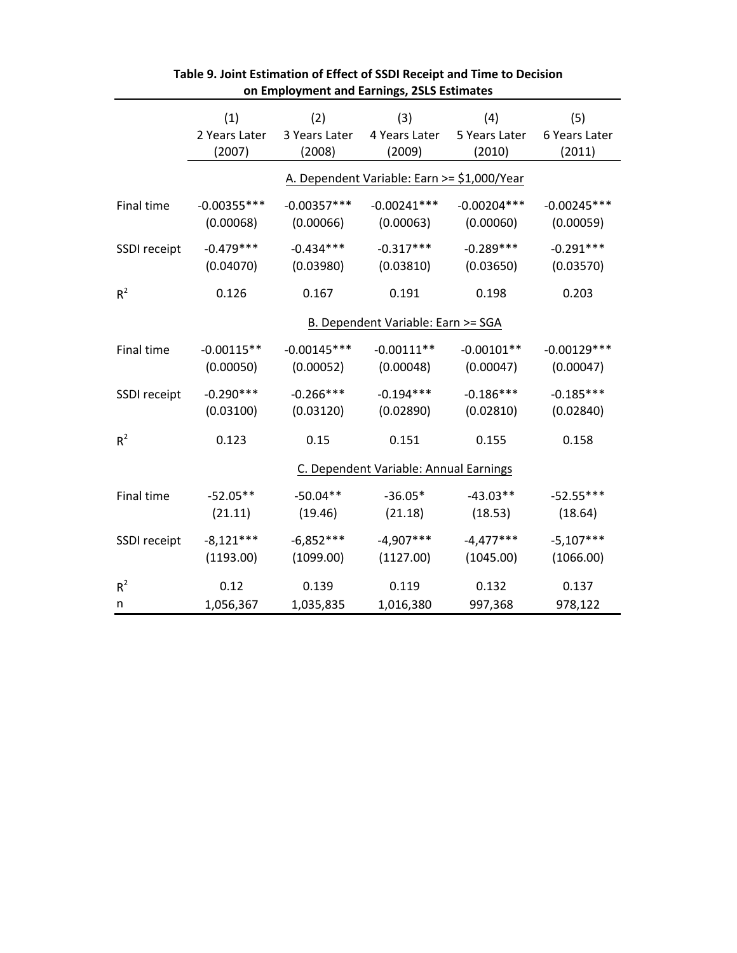|              |                                | on Employment and Earnings, 2SLS Estimates |                                             |                                |                                |
|--------------|--------------------------------|--------------------------------------------|---------------------------------------------|--------------------------------|--------------------------------|
|              | (1)<br>2 Years Later<br>(2007) | (2)<br>3 Years Later<br>(2008)             | (3)<br>4 Years Later<br>(2009)              | (4)<br>5 Years Later<br>(2010) | (5)<br>6 Years Later<br>(2011) |
|              |                                |                                            | A. Dependent Variable: Earn >= \$1,000/Year |                                |                                |
| Final time   | $-0.00355***$<br>(0.00068)     | $-0.00357***$<br>(0.00066)                 | $-0.00241***$<br>(0.00063)                  | $-0.00204***$<br>(0.00060)     | $-0.00245***$<br>(0.00059)     |
| SSDI receipt | $-0.479***$<br>(0.04070)       | $-0.434***$<br>(0.03980)                   | $-0.317***$<br>(0.03810)                    | $-0.289***$<br>(0.03650)       | $-0.291***$<br>(0.03570)       |
| $R^2$        | 0.126                          | 0.167                                      | 0.191                                       | 0.198                          | 0.203                          |
|              |                                |                                            | B. Dependent Variable: Earn >= SGA          |                                |                                |
| Final time   | $-0.00115**$<br>(0.00050)      | $-0.00145***$<br>(0.00052)                 | $-0.00111**$<br>(0.00048)                   | $-0.00101**$<br>(0.00047)      | $-0.00129***$<br>(0.00047)     |
| SSDI receipt | $-0.290***$<br>(0.03100)       | $-0.266***$<br>(0.03120)                   | $-0.194***$<br>(0.02890)                    | $-0.186***$<br>(0.02810)       | $-0.185***$<br>(0.02840)       |
| $R^2$        | 0.123                          | 0.15                                       | 0.151                                       | 0.155                          | 0.158                          |
|              |                                |                                            | C. Dependent Variable: Annual Earnings      |                                |                                |
| Final time   | $-52.05**$<br>(21.11)          | $-50.04**$<br>(19.46)                      | $-36.05*$<br>(21.18)                        | $-43.03**$<br>(18.53)          | $-52.55***$<br>(18.64)         |
| SSDI receipt | $-8,121***$<br>(1193.00)       | $-6,852***$<br>(1099.00)                   | $-4,907***$<br>(1127.00)                    | $-4,477***$<br>(1045.00)       | $-5,107***$<br>(1066.00)       |
| $R^2$        | 0.12                           | 0.139                                      | 0.119                                       | 0.132                          | 0.137                          |
| n            | 1,056,367                      | 1,035,835                                  | 1,016,380                                   | 997,368                        | 978,122                        |

| Table 9. Joint Estimation of Effect of SSDI Receipt and Time to Decision |
|--------------------------------------------------------------------------|
| on Employment and Earnings, 2SLS Estimates                               |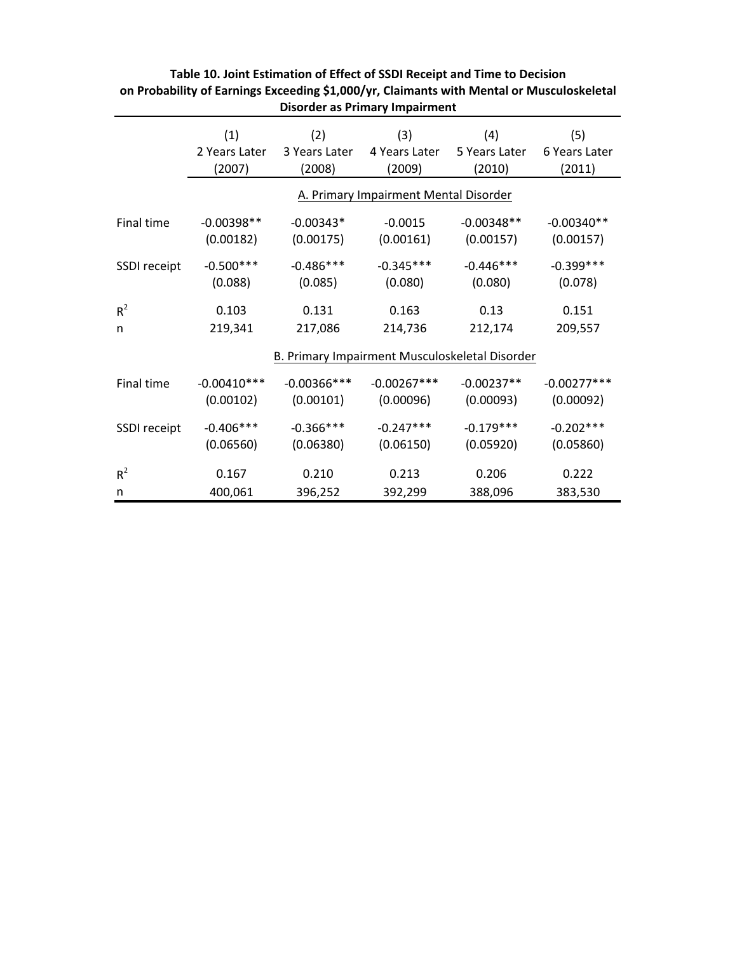|              | (1)                                            | (2)            | (3)           | (4)           | (5)           |  |  |
|--------------|------------------------------------------------|----------------|---------------|---------------|---------------|--|--|
|              | 2 Years Later                                  | 3 Years Later  | 4 Years Later | 5 Years Later | 6 Years Later |  |  |
|              | (2007)                                         | (2008)         | (2009)        | (2010)        | (2011)        |  |  |
|              | A. Primary Impairment Mental Disorder          |                |               |               |               |  |  |
| Final time   | $-0.00398**$                                   | $-0.00343*$    | $-0.0015$     | $-0.00348**$  | $-0.00340**$  |  |  |
|              | (0.00182)                                      | (0.00175)      | (0.00161)     | (0.00157)     | (0.00157)     |  |  |
| SSDI receipt | $-0.500***$                                    | $-0.486***$    | $-0.345***$   | $-0.446***$   | $-0.399***$   |  |  |
|              | (0.088)                                        | (0.085)        | (0.080)       | (0.080)       | (0.078)       |  |  |
| $R^2$        | 0.103                                          | 0.131          | 0.163         | 0.13          | 0.151         |  |  |
| n            | 219,341                                        | 217,086        | 214,736       | 212,174       | 209,557       |  |  |
|              | B. Primary Impairment Musculoskeletal Disorder |                |               |               |               |  |  |
| Final time   | $-0.00410***$                                  | $-0.00366$ *** | $-0.00267***$ | $-0.00237**$  | $-0.00277***$ |  |  |
|              | (0.00102)                                      | (0.00101)      | (0.00096)     | (0.00093)     | (0.00092)     |  |  |
| SSDI receipt | $-0.406***$                                    | $-0.366***$    | $-0.247***$   | $-0.179***$   | $-0.202***$   |  |  |
|              | (0.06560)                                      | (0.06380)      | (0.06150)     | (0.05920)     | (0.05860)     |  |  |
| $R^2$        | 0.167                                          | 0.210          | 0.213         | 0.206         | 0.222         |  |  |
| n            | 400,061                                        | 396,252        | 392,299       | 388,096       | 383,530       |  |  |

#### Table 10. Joint Estimation of Effect of SSDI Receipt and Time to Decision on Probability of Earnings Exceeding \$1,000/yr, Claimants with Mental or Musculoskeletal **Disorder as Primary Impairment**